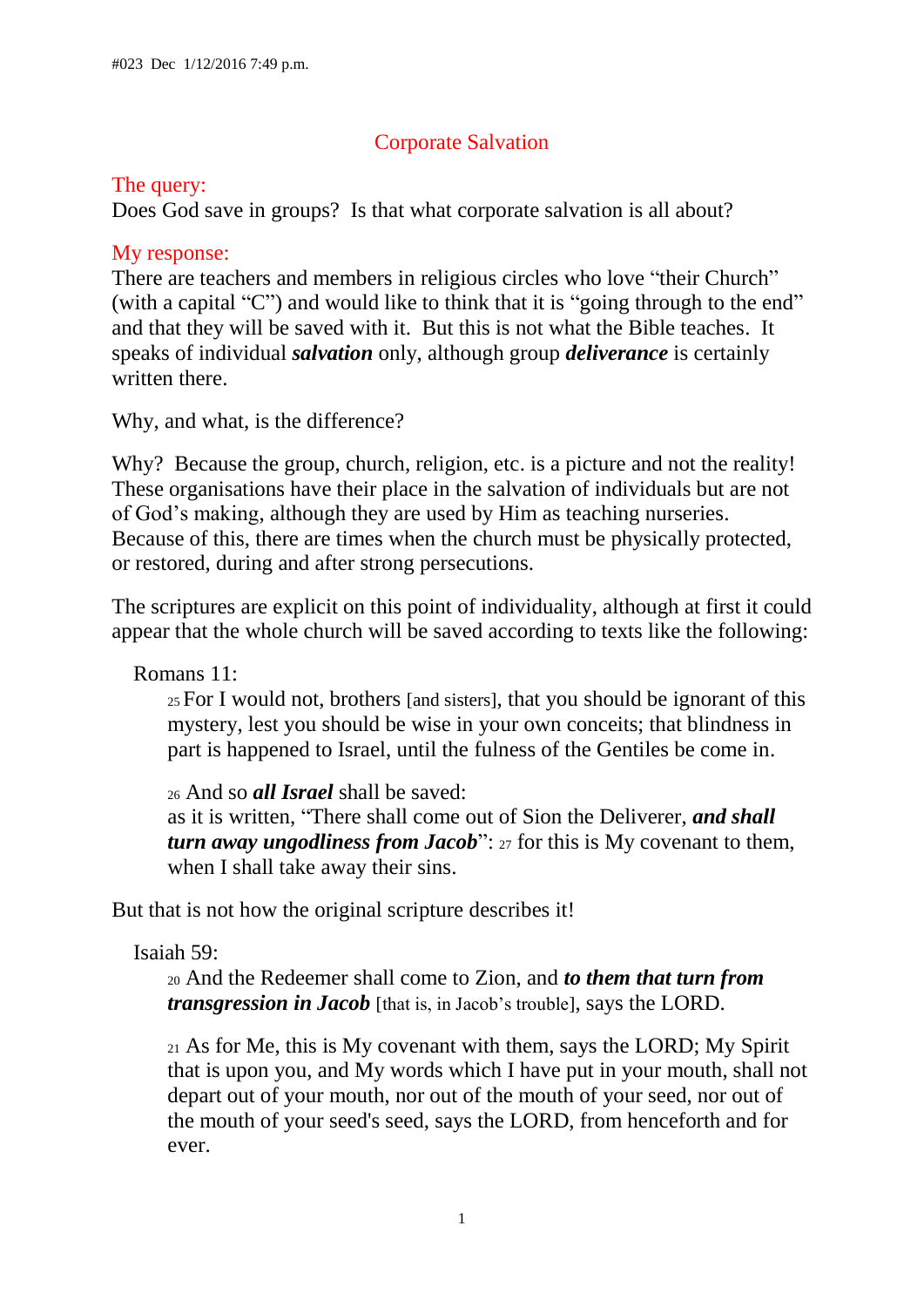# Corporate Salvation

## The query:

Does God save in groups? Is that what corporate salvation is all about?

## My response:

There are teachers and members in religious circles who love "their Church" (with a capital "C") and would like to think that it is "going through to the end" and that they will be saved with it. But this is not what the Bible teaches. It speaks of individual *salvation* only, although group *deliverance* is certainly written there.

Why, and what, is the difference?

Why? Because the group, church, religion, etc. is a picture and not the reality! These organisations have their place in the salvation of individuals but are not of God's making, although they are used by Him as teaching nurseries. Because of this, there are times when the church must be physically protected, or restored, during and after strong persecutions.

The scriptures are explicit on this point of individuality, although at first it could appear that the whole church will be saved according to texts like the following:

Romans 11:

<sup>25</sup> For I would not, brothers [and sisters], that you should be ignorant of this mystery, lest you should be wise in your own conceits; that blindness in part is happened to Israel, until the fulness of the Gentiles be come in.

<sup>26</sup> And so *all Israel* shall be saved: as it is written, "There shall come out of Sion the Deliverer, *and shall turn away ungodliness from Jacob*": 27 for this is My covenant to them, when I shall take away their sins.

But that is not how the original scripture describes it!

Isaiah 59:

<sup>20</sup> And the Redeemer shall come to Zion, and *to them that turn from transgression in Jacob* [that is, in Jacob's trouble], says the LORD.

<sup>21</sup> As for Me, this is My covenant with them, says the LORD; My Spirit that is upon you, and My words which I have put in your mouth, shall not depart out of your mouth, nor out of the mouth of your seed, nor out of the mouth of your seed's seed, says the LORD, from henceforth and for ever.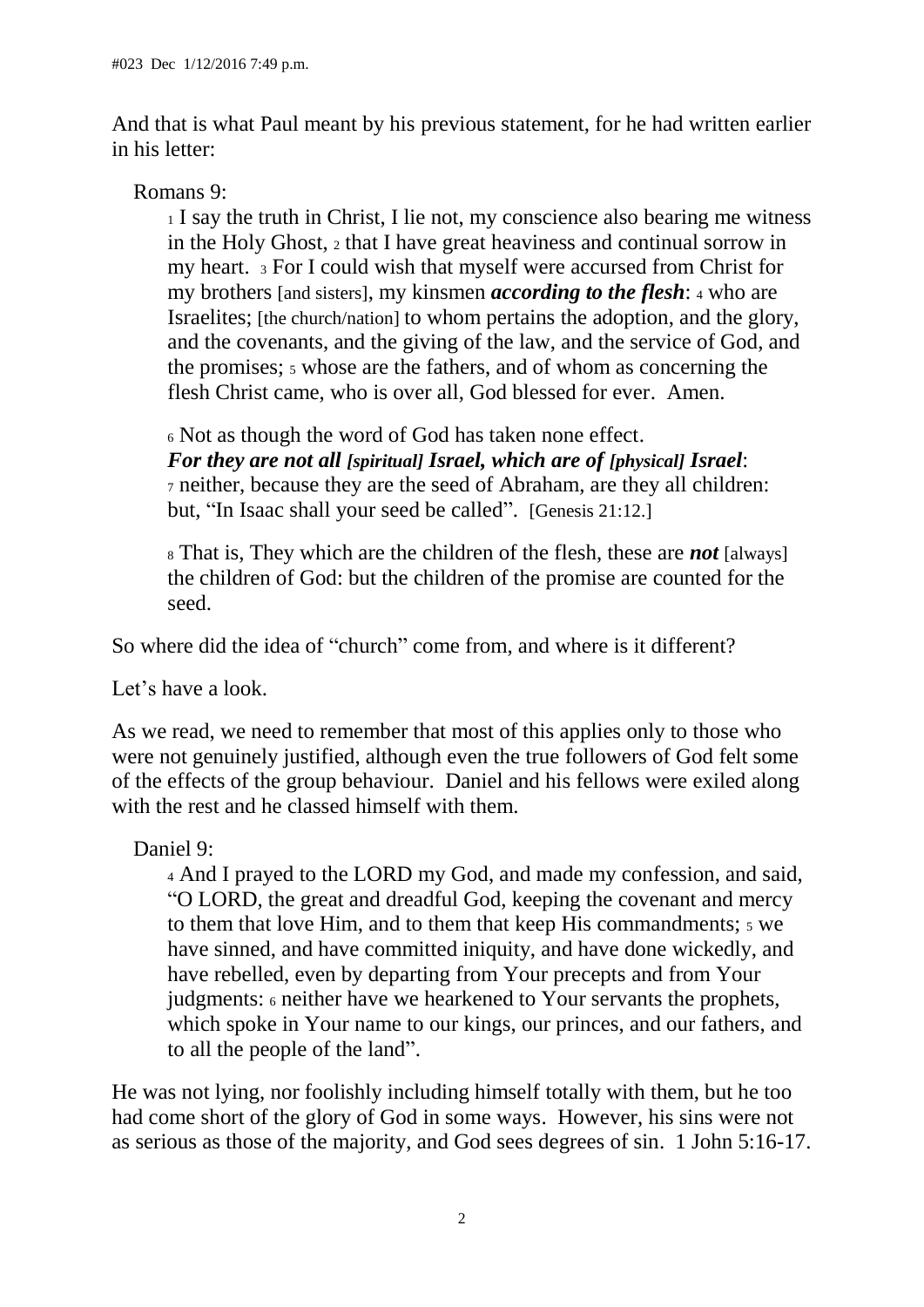And that is what Paul meant by his previous statement, for he had written earlier in his letter:

## Romans 9:

<sup>1</sup> I say the truth in Christ, I lie not, my conscience also bearing me witness in the Holy Ghost, <sup>2</sup> that I have great heaviness and continual sorrow in my heart. <sup>3</sup> For I could wish that myself were accursed from Christ for my brothers [and sisters], my kinsmen *according to the flesh*: <sup>4</sup> who are Israelites; [the church/nation] to whom pertains the adoption, and the glory, and the covenants, and the giving of the law, and the service of God, and the promises;  $\frac{1}{5}$  whose are the fathers, and of whom as concerning the flesh Christ came, who is over all, God blessed for ever. Amen.

<sup>6</sup> Not as though the word of God has taken none effect. *For they are not all [spiritual] Israel, which are of [physical] Israel*: <sup>7</sup> neither, because they are the seed of Abraham, are they all children: but, "In Isaac shall your seed be called". [Genesis 21:12.]

<sup>8</sup> That is, They which are the children of the flesh, these are *not* [always] the children of God: but the children of the promise are counted for the seed.

So where did the idea of "church" come from, and where is it different?

Let's have a look.

As we read, we need to remember that most of this applies only to those who were not genuinely justified, although even the true followers of God felt some of the effects of the group behaviour. Daniel and his fellows were exiled along with the rest and he classed himself with them.

Daniel 9:

<sup>4</sup> And I prayed to the LORD my God, and made my confession, and said, "O LORD, the great and dreadful God, keeping the covenant and mercy to them that love Him, and to them that keep His commandments; 5 we have sinned, and have committed iniquity, and have done wickedly, and have rebelled, even by departing from Your precepts and from Your judgments: <sup>6</sup> neither have we hearkened to Your servants the prophets, which spoke in Your name to our kings, our princes, and our fathers, and to all the people of the land".

He was not lying, nor foolishly including himself totally with them, but he too had come short of the glory of God in some ways. However, his sins were not as serious as those of the majority, and God sees degrees of sin. 1 John 5:16-17.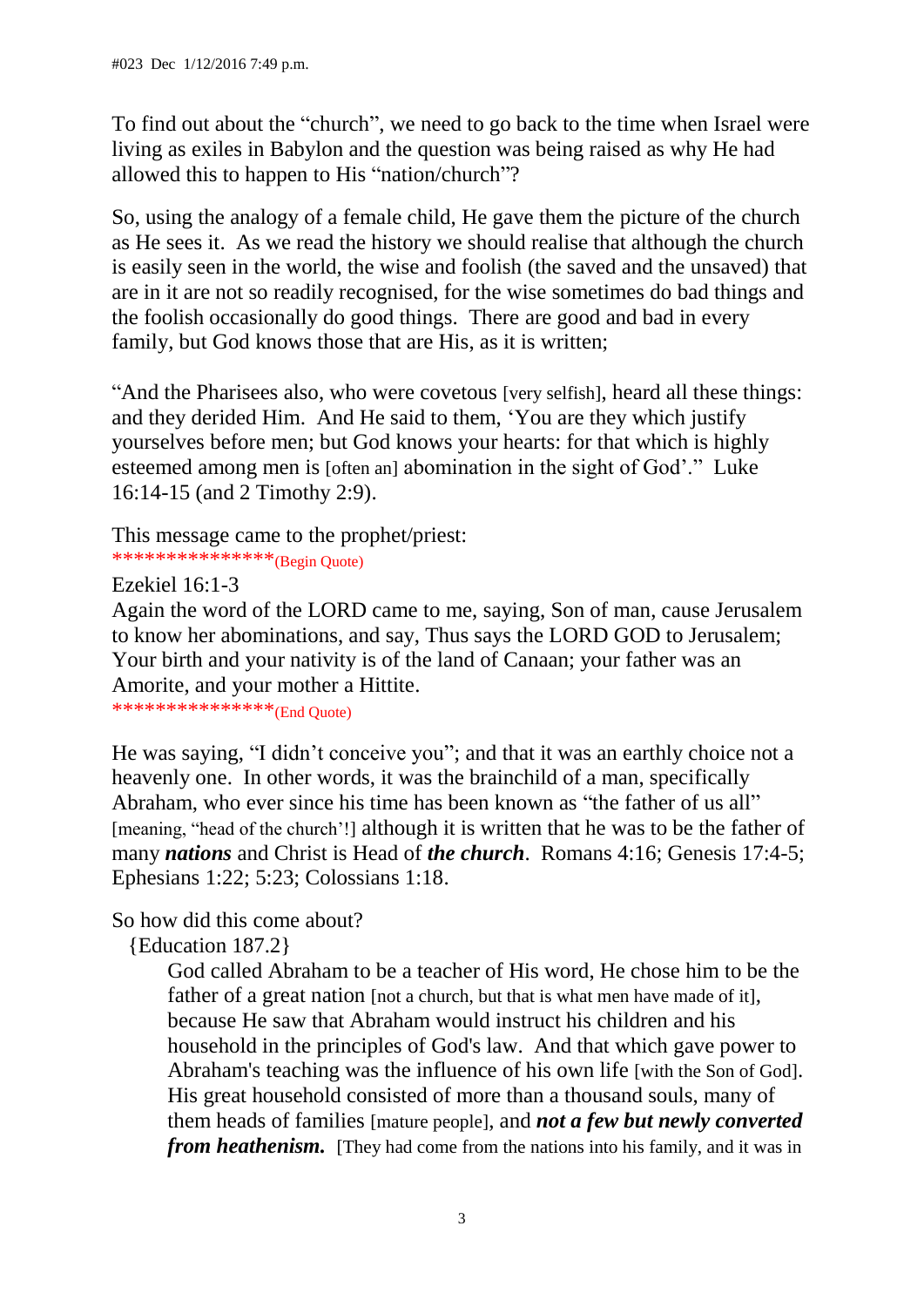To find out about the "church", we need to go back to the time when Israel were living as exiles in Babylon and the question was being raised as why He had allowed this to happen to His "nation/church"?

So, using the analogy of a female child, He gave them the picture of the church as He sees it. As we read the history we should realise that although the church is easily seen in the world, the wise and foolish (the saved and the unsaved) that are in it are not so readily recognised, for the wise sometimes do bad things and the foolish occasionally do good things. There are good and bad in every family, but God knows those that are His, as it is written;

"And the Pharisees also, who were covetous [very selfish], heard all these things: and they derided Him. And He said to them, 'You are they which justify yourselves before men; but God knows your hearts: for that which is highly esteemed among men is [often an] abomination in the sight of God'." Luke 16:14-15 (and 2 Timothy 2:9).

This message came to the prophet/priest: \*\*\*\*\*\*\*\*\*\*\*\*\*\*\*\*(Begin Quote)

Ezekiel 16:1-3

Again the word of the LORD came to me, saying, Son of man, cause Jerusalem to know her abominations, and say, Thus says the LORD GOD to Jerusalem; Your birth and your nativity is of the land of Canaan; your father was an Amorite, and your mother a Hittite.

\*\*\*\*\*\*\*\*\*\*\*\*\*\*\*(End Quote)

He was saying, "I didn't conceive you"; and that it was an earthly choice not a heavenly one. In other words, it was the brainchild of a man, specifically Abraham, who ever since his time has been known as "the father of us all" [meaning, "head of the church'!] although it is written that he was to be the father of many *nations* and Christ is Head of *the church*. Romans 4:16; Genesis 17:4-5; Ephesians 1:22; 5:23; Colossians 1:18.

## So how did this come about?

{Education 187.2}

God called Abraham to be a teacher of His word, He chose him to be the father of a great nation [not a church, but that is what men have made of it]. because He saw that Abraham would instruct his children and his household in the principles of God's law. And that which gave power to Abraham's teaching was the influence of his own life [with the Son of God]. His great household consisted of more than a thousand souls, many of them heads of families [mature people], and *not a few but newly converted from heathenism.* [They had come from the nations into his family, and it was in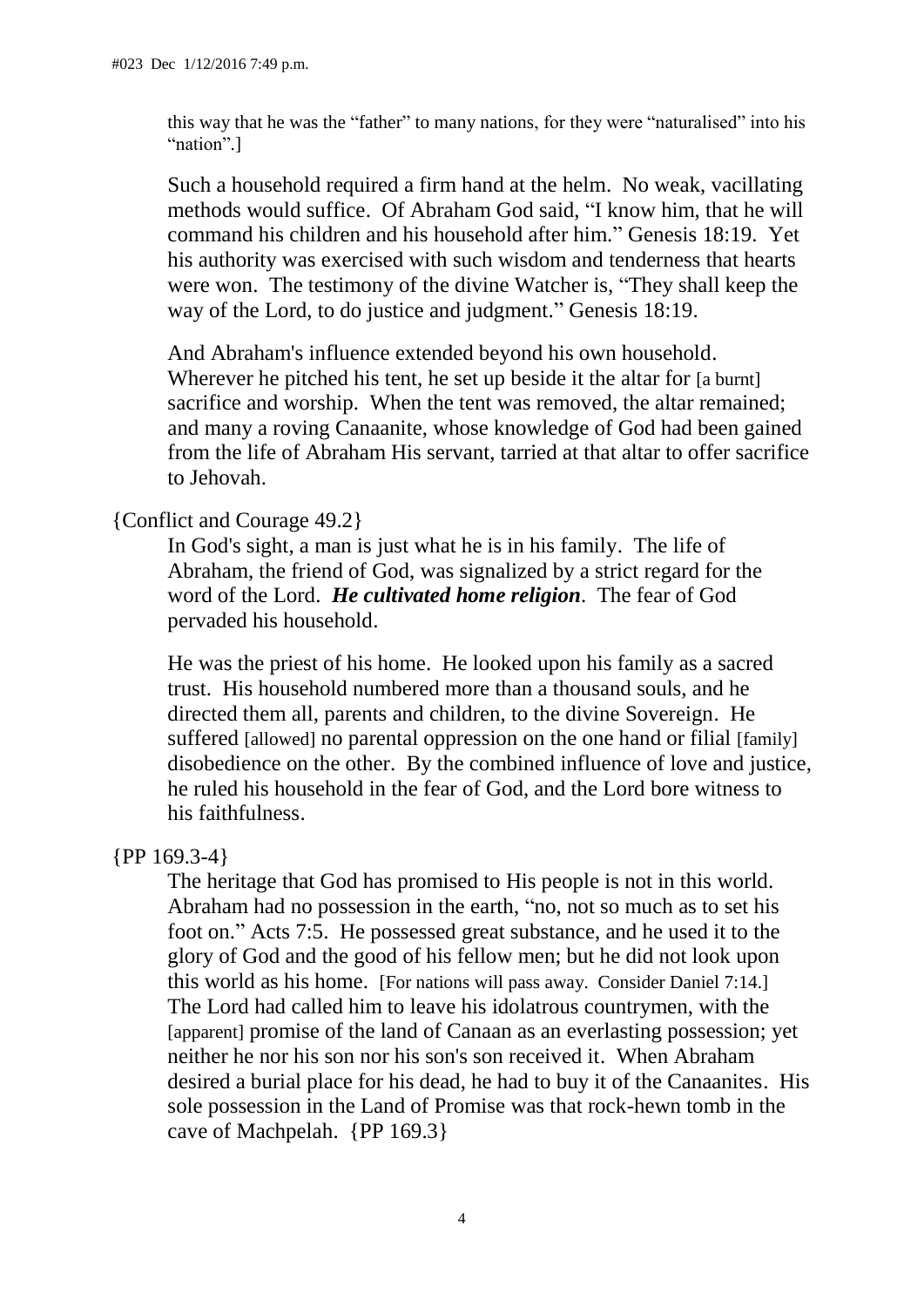this way that he was the "father" to many nations, for they were "naturalised" into his "nation".]

Such a household required a firm hand at the helm. No weak, vacillating methods would suffice. Of Abraham God said, "I know him, that he will command his children and his household after him." Genesis 18:19. Yet his authority was exercised with such wisdom and tenderness that hearts were won. The testimony of the divine Watcher is, "They shall keep the way of the Lord, to do justice and judgment." Genesis 18:19.

And Abraham's influence extended beyond his own household. Wherever he pitched his tent, he set up beside it the altar for [a burnt] sacrifice and worship. When the tent was removed, the altar remained; and many a roving Canaanite, whose knowledge of God had been gained from the life of Abraham His servant, tarried at that altar to offer sacrifice to Jehovah.

#### {Conflict and Courage 49.2}

In God's sight, a man is just what he is in his family. The life of Abraham, the friend of God, was signalized by a strict regard for the word of the Lord. *He cultivated home religion*. The fear of God pervaded his household.

He was the priest of his home. He looked upon his family as a sacred trust. His household numbered more than a thousand souls, and he directed them all, parents and children, to the divine Sovereign. He suffered [allowed] no parental oppression on the one hand or filial [family] disobedience on the other. By the combined influence of love and justice, he ruled his household in the fear of God, and the Lord bore witness to his faithfulness.

#### {PP 169.3-4}

The heritage that God has promised to His people is not in this world. Abraham had no possession in the earth, "no, not so much as to set his foot on." Acts 7:5. He possessed great substance, and he used it to the glory of God and the good of his fellow men; but he did not look upon this world as his home. [For nations will pass away. Consider Daniel 7:14.] The Lord had called him to leave his idolatrous countrymen, with the [apparent] promise of the land of Canaan as an everlasting possession; yet neither he nor his son nor his son's son received it. When Abraham desired a burial place for his dead, he had to buy it of the Canaanites. His sole possession in the Land of Promise was that rock-hewn tomb in the cave of Machpelah. {PP 169.3}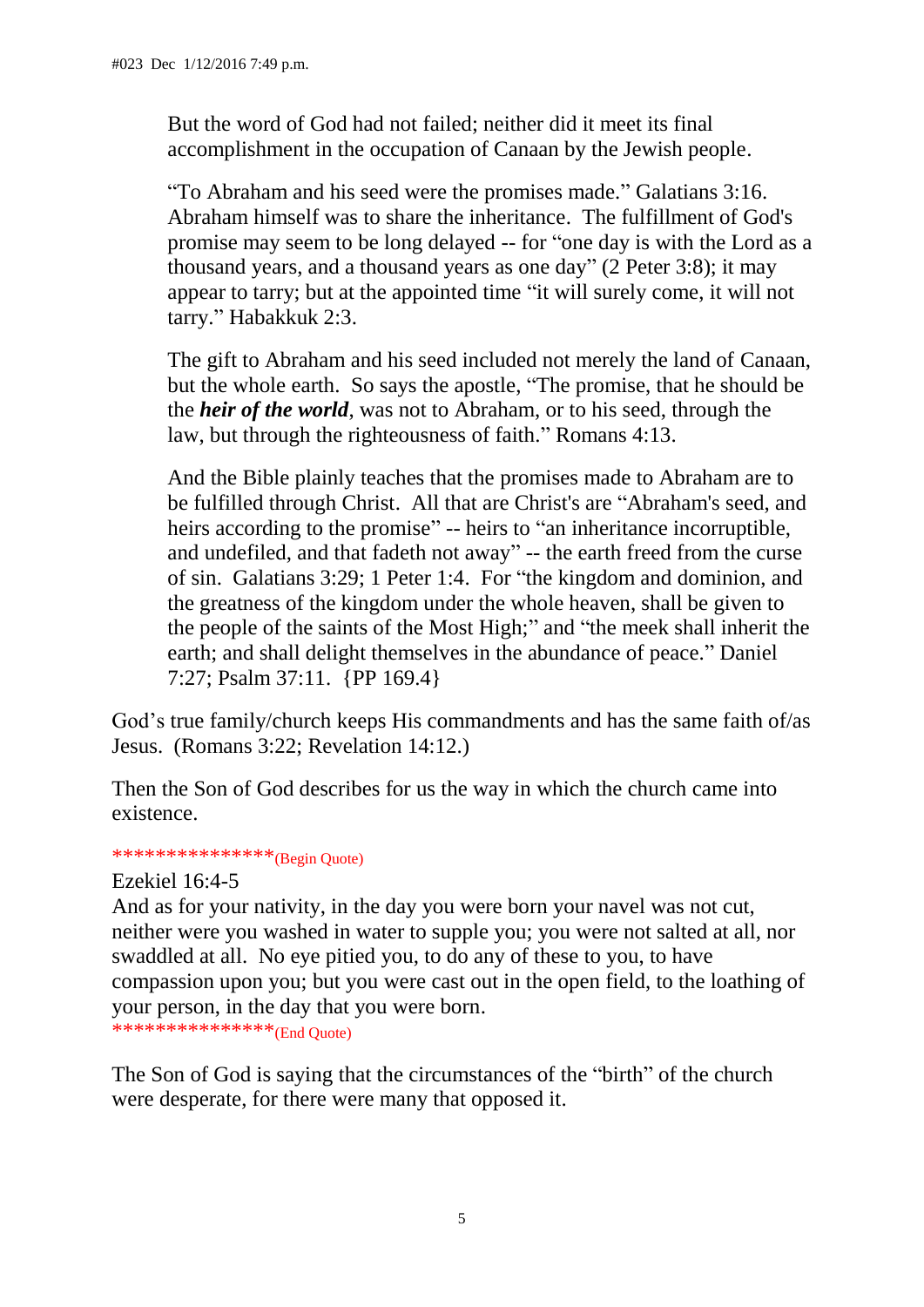But the word of God had not failed; neither did it meet its final accomplishment in the occupation of Canaan by the Jewish people.

"To Abraham and his seed were the promises made." Galatians 3:16. Abraham himself was to share the inheritance. The fulfillment of God's promise may seem to be long delayed -- for "one day is with the Lord as a thousand years, and a thousand years as one day" (2 Peter 3:8); it may appear to tarry; but at the appointed time "it will surely come, it will not tarry." Habakkuk 2:3.

The gift to Abraham and his seed included not merely the land of Canaan, but the whole earth. So says the apostle, "The promise, that he should be the *heir of the world*, was not to Abraham, or to his seed, through the law, but through the righteousness of faith." Romans 4:13.

And the Bible plainly teaches that the promises made to Abraham are to be fulfilled through Christ. All that are Christ's are "Abraham's seed, and heirs according to the promise" -- heirs to "an inheritance incorruptible, and undefiled, and that fadeth not away" -- the earth freed from the curse of sin. Galatians 3:29; 1 Peter 1:4. For "the kingdom and dominion, and the greatness of the kingdom under the whole heaven, shall be given to the people of the saints of the Most High;" and "the meek shall inherit the earth; and shall delight themselves in the abundance of peace." Daniel 7:27; Psalm 37:11. {PP 169.4}

God's true family/church keeps His commandments and has the same faith of/as Jesus. (Romans 3:22; Revelation 14:12.)

Then the Son of God describes for us the way in which the church came into existence.

#### \*\*\*\*\*\*\*\*\*\*\*\*\*\*\*(Begin Quote)

#### Ezekiel 16:4-5

And as for your nativity, in the day you were born your navel was not cut, neither were you washed in water to supple you; you were not salted at all, nor swaddled at all. No eye pitied you, to do any of these to you, to have compassion upon you; but you were cast out in the open field, to the loathing of your person, in the day that you were born.

\*\*\*\*\*\*\*\*\*\*\*\*\*\*\*\*\*(End Quote)

The Son of God is saying that the circumstances of the "birth" of the church were desperate, for there were many that opposed it.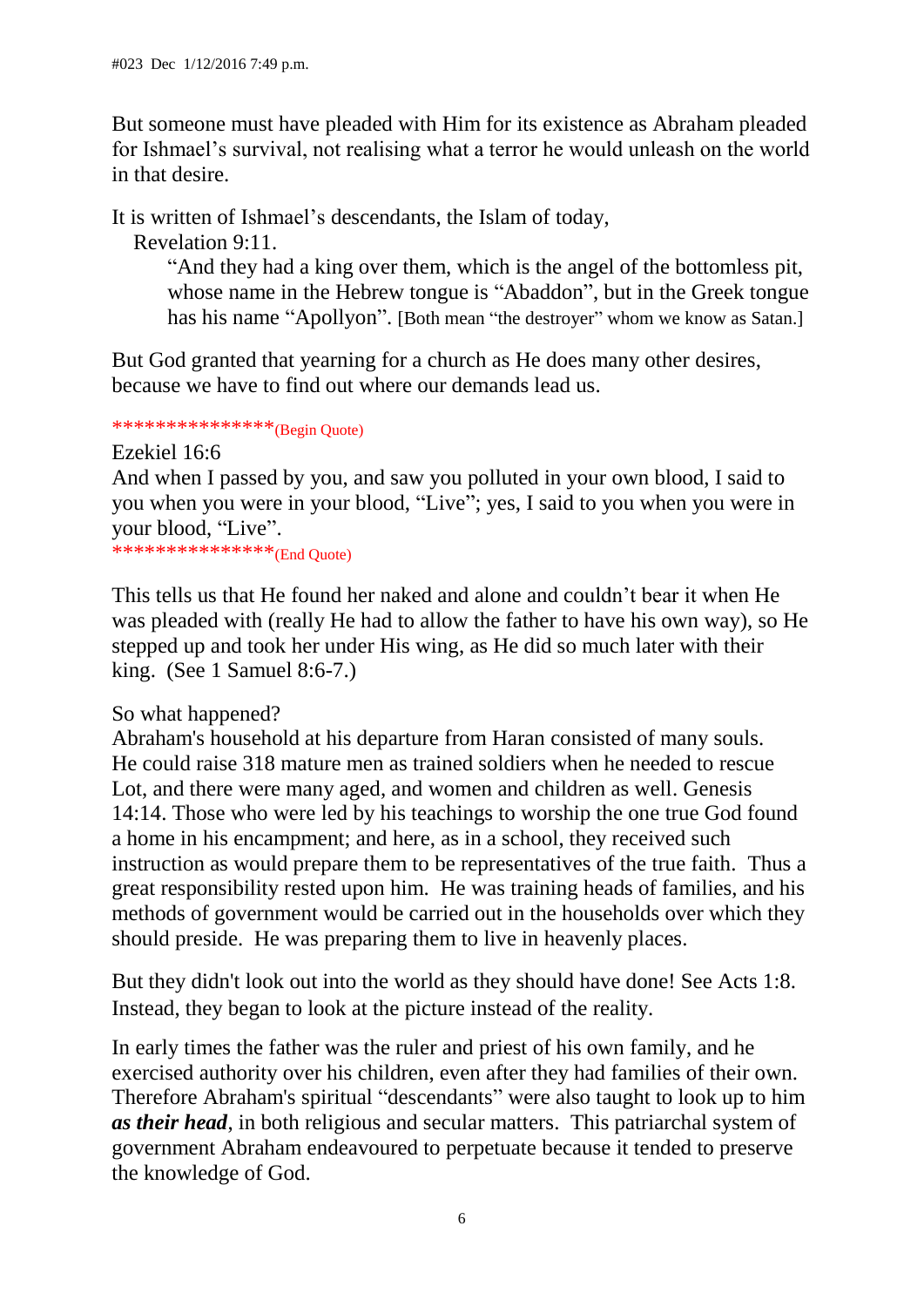But someone must have pleaded with Him for its existence as Abraham pleaded for Ishmael's survival, not realising what a terror he would unleash on the world in that desire.

It is written of Ishmael's descendants, the Islam of today,

Revelation 9:11.

"And they had a king over them, which is the angel of the bottomless pit, whose name in the Hebrew tongue is "Abaddon", but in the Greek tongue has his name "Apollyon". [Both mean "the destroyer" whom we know as Satan.]

But God granted that yearning for a church as He does many other desires, because we have to find out where our demands lead us.

# \*\*\*\*\*\*\*\*\*\*\*\*\*\*\*\*\*(Begin Quote)

Ezekiel 16:6 And when I passed by you, and saw you polluted in your own blood, I said to you when you were in your blood, "Live"; yes, I said to you when you were in your blood, "Live".

\*\*\*\*\*\*\*\*\*\*\*\*\*\*\*\*\*(End Quote)

This tells us that He found her naked and alone and couldn't bear it when He was pleaded with (really He had to allow the father to have his own way), so He stepped up and took her under His wing, as He did so much later with their king. (See 1 Samuel 8:6-7.)

So what happened?

Abraham's household at his departure from Haran consisted of many souls. He could raise 318 mature men as trained soldiers when he needed to rescue Lot, and there were many aged, and women and children as well. Genesis 14:14. Those who were led by his teachings to worship the one true God found a home in his encampment; and here, as in a school, they received such instruction as would prepare them to be representatives of the true faith. Thus a great responsibility rested upon him. He was training heads of families, and his methods of government would be carried out in the households over which they should preside. He was preparing them to live in heavenly places.

But they didn't look out into the world as they should have done! See Acts 1:8. Instead, they began to look at the picture instead of the reality.

In early times the father was the ruler and priest of his own family, and he exercised authority over his children, even after they had families of their own. Therefore Abraham's spiritual "descendants" were also taught to look up to him *as their head*, in both religious and secular matters. This patriarchal system of government Abraham endeavoured to perpetuate because it tended to preserve the knowledge of God.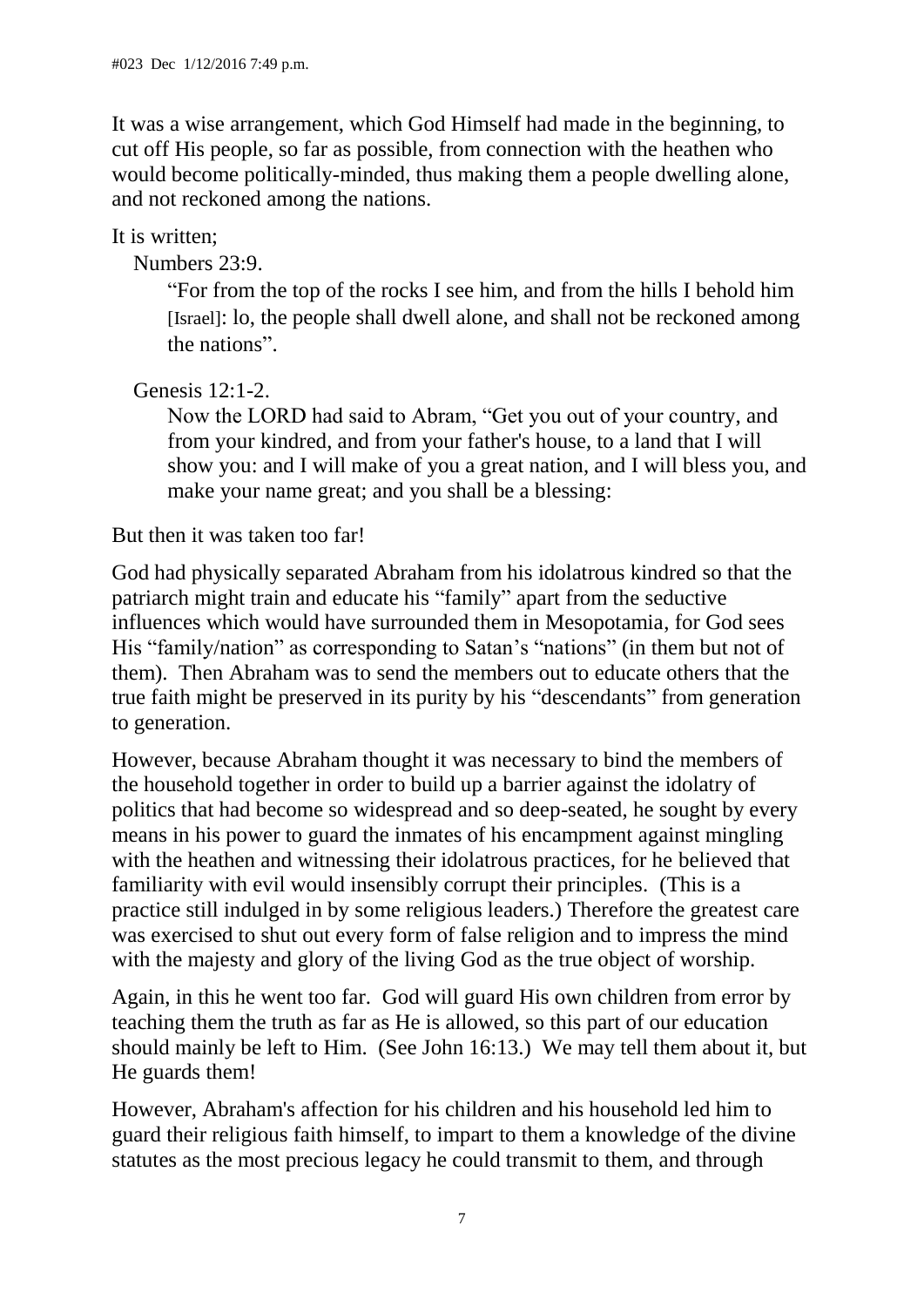It was a wise arrangement, which God Himself had made in the beginning, to cut off His people, so far as possible, from connection with the heathen who would become politically-minded, thus making them a people dwelling alone, and not reckoned among the nations.

It is written:

Numbers 23:9.

"For from the top of the rocks I see him, and from the hills I behold him [Israel]: lo, the people shall dwell alone, and shall not be reckoned among the nations".

Genesis 12:1-2.

Now the LORD had said to Abram, "Get you out of your country, and from your kindred, and from your father's house, to a land that I will show you: and I will make of you a great nation, and I will bless you, and make your name great; and you shall be a blessing:

## But then it was taken too far!

God had physically separated Abraham from his idolatrous kindred so that the patriarch might train and educate his "family" apart from the seductive influences which would have surrounded them in Mesopotamia, for God sees His "family/nation" as corresponding to Satan's "nations" (in them but not of them). Then Abraham was to send the members out to educate others that the true faith might be preserved in its purity by his "descendants" from generation to generation.

However, because Abraham thought it was necessary to bind the members of the household together in order to build up a barrier against the idolatry of politics that had become so widespread and so deep-seated, he sought by every means in his power to guard the inmates of his encampment against mingling with the heathen and witnessing their idolatrous practices, for he believed that familiarity with evil would insensibly corrupt their principles. (This is a practice still indulged in by some religious leaders.) Therefore the greatest care was exercised to shut out every form of false religion and to impress the mind with the majesty and glory of the living God as the true object of worship.

Again, in this he went too far. God will guard His own children from error by teaching them the truth as far as He is allowed, so this part of our education should mainly be left to Him. (See John 16:13.) We may tell them about it, but He guards them!

However, Abraham's affection for his children and his household led him to guard their religious faith himself, to impart to them a knowledge of the divine statutes as the most precious legacy he could transmit to them, and through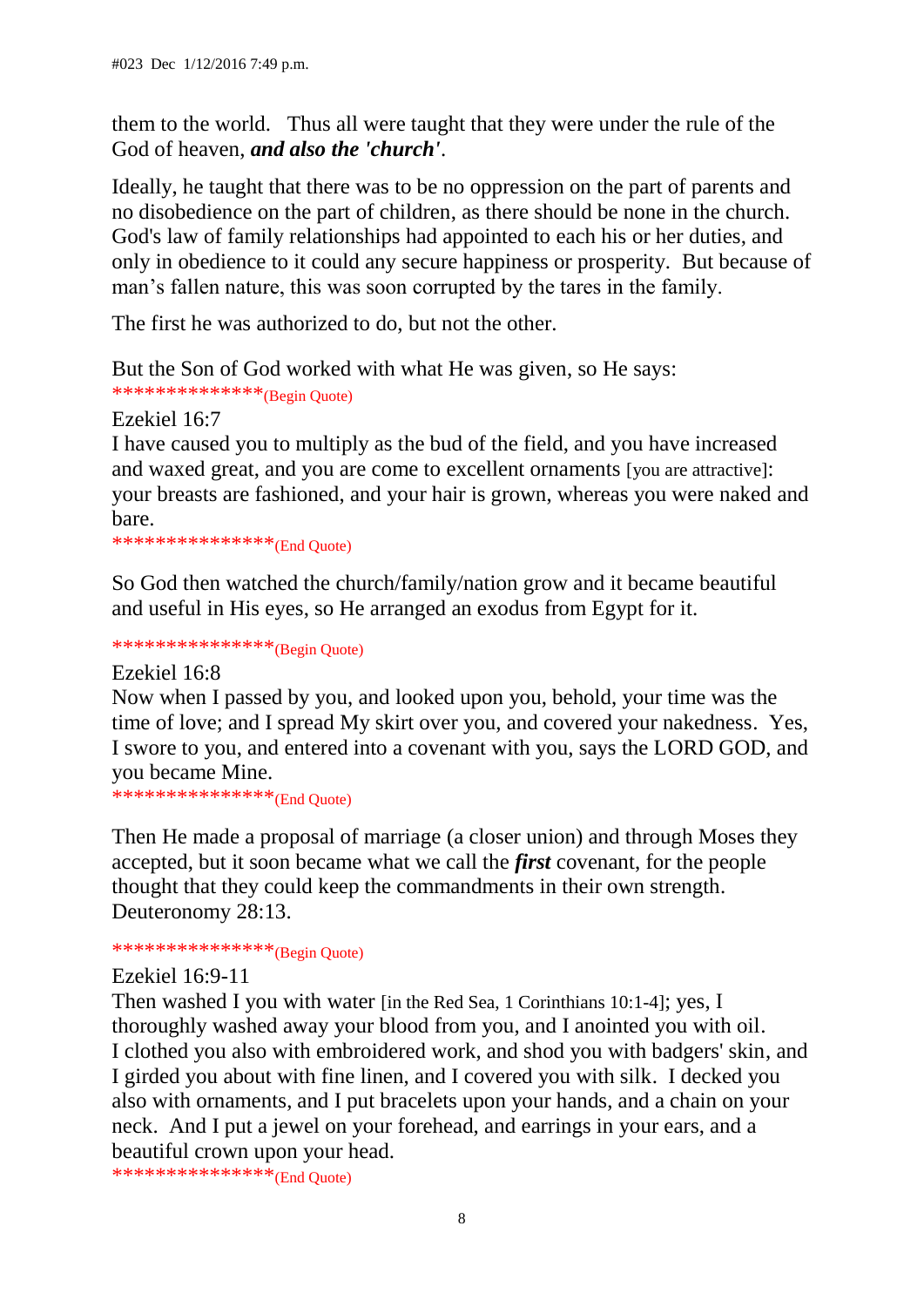them to the world. Thus all were taught that they were under the rule of the God of heaven, *and also the 'church'*.

Ideally, he taught that there was to be no oppression on the part of parents and no disobedience on the part of children, as there should be none in the church. God's law of family relationships had appointed to each his or her duties, and only in obedience to it could any secure happiness or prosperity. But because of man's fallen nature, this was soon corrupted by the tares in the family.

The first he was authorized to do, but not the other.

But the Son of God worked with what He was given, so He says: \*\*\*\*\*\*\*\*\*\*\*\*\*\*\*(Begin Quote)

Ezekiel 16:7

I have caused you to multiply as the bud of the field, and you have increased and waxed great, and you are come to excellent ornaments [you are attractive]: your breasts are fashioned, and your hair is grown, whereas you were naked and bare.

\*\*\*\*\*\*\*\*\*\*\*\*\*\*\*(End Quote)

So God then watched the church/family/nation grow and it became beautiful and useful in His eyes, so He arranged an exodus from Egypt for it.

\*\*\*\*\*\*\*\*\*\*\*\*\*\*\*\*(Begin Quote)

Ezekiel 16:8

Now when I passed by you, and looked upon you, behold, your time was the time of love; and I spread My skirt over you, and covered your nakedness. Yes, I swore to you, and entered into a covenant with you, says the LORD GOD, and you became Mine.

\*\*\*\*\*\*\*\*\*\*\*\*\*\*\*\*(End Quote)

Then He made a proposal of marriage (a closer union) and through Moses they accepted, but it soon became what we call the *first* covenant, for the people thought that they could keep the commandments in their own strength. Deuteronomy 28:13.

\*\*\*\*\*\*\*\*\*\*\*\*\*\*\*\*\*(Begin Quote)

#### Ezekiel 16:9-11

Then washed I you with water [in the Red Sea, 1 Corinthians 10:1-4]; yes, I thoroughly washed away your blood from you, and I anointed you with oil. I clothed you also with embroidered work, and shod you with badgers' skin, and I girded you about with fine linen, and I covered you with silk. I decked you also with ornaments, and I put bracelets upon your hands, and a chain on your neck. And I put a jewel on your forehead, and earrings in your ears, and a beautiful crown upon your head.

\*\*\*\*\*\*\*\*\*\*\*\*\*\*\*(End Quote)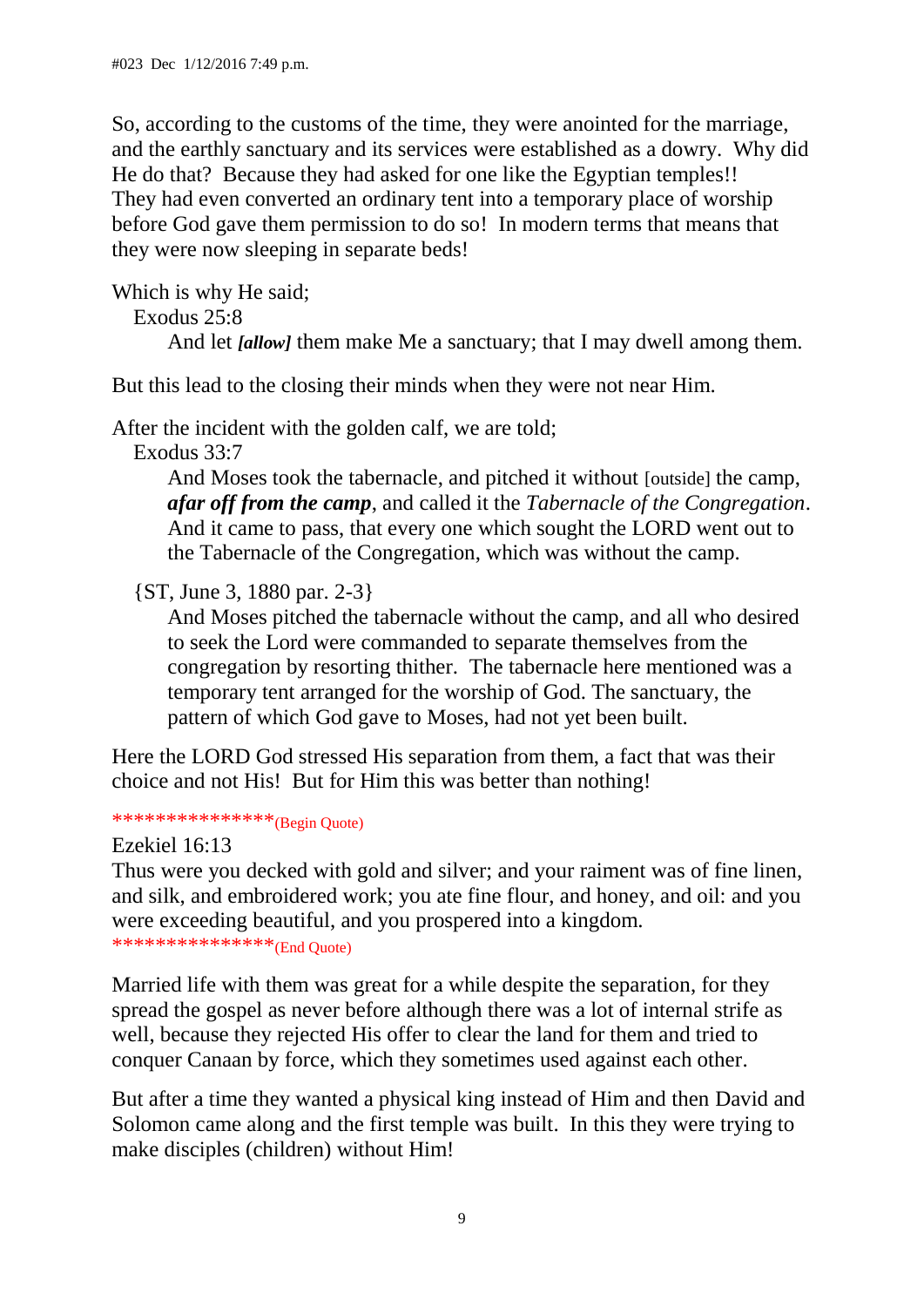So, according to the customs of the time, they were anointed for the marriage, and the earthly sanctuary and its services were established as a dowry. Why did He do that? Because they had asked for one like the Egyptian temples!! They had even converted an ordinary tent into a temporary place of worship before God gave them permission to do so! In modern terms that means that they were now sleeping in separate beds!

Which is why He said; Exodus 25:8 And let *[allow]* them make Me a sanctuary; that I may dwell among them.

But this lead to the closing their minds when they were not near Him.

After the incident with the golden calf, we are told;

Exodus 33:7

And Moses took the tabernacle, and pitched it without [outside] the camp, *afar off from the camp*, and called it the *Tabernacle of the Congregation*. And it came to pass, that every one which sought the LORD went out to the Tabernacle of the Congregation, which was without the camp.

{ST, June 3, 1880 par. 2-3}

And Moses pitched the tabernacle without the camp, and all who desired to seek the Lord were commanded to separate themselves from the congregation by resorting thither. The tabernacle here mentioned was a temporary tent arranged for the worship of God. The sanctuary, the pattern of which God gave to Moses, had not yet been built.

Here the LORD God stressed His separation from them, a fact that was their choice and not His! But for Him this was better than nothing!

\*\*\*\*\*\*\*\*\*\*\*\*\*\*\*\*(Begin Quote)

Ezekiel 16:13

Thus were you decked with gold and silver; and your raiment was of fine linen, and silk, and embroidered work; you ate fine flour, and honey, and oil: and you were exceeding beautiful, and you prospered into a kingdom. \*\*\*\*\*\*\*\*\*\*\*\*\*\*\*\*\*(End Quote)

Married life with them was great for a while despite the separation, for they spread the gospel as never before although there was a lot of internal strife as well, because they rejected His offer to clear the land for them and tried to conquer Canaan by force, which they sometimes used against each other.

But after a time they wanted a physical king instead of Him and then David and Solomon came along and the first temple was built. In this they were trying to make disciples (children) without Him!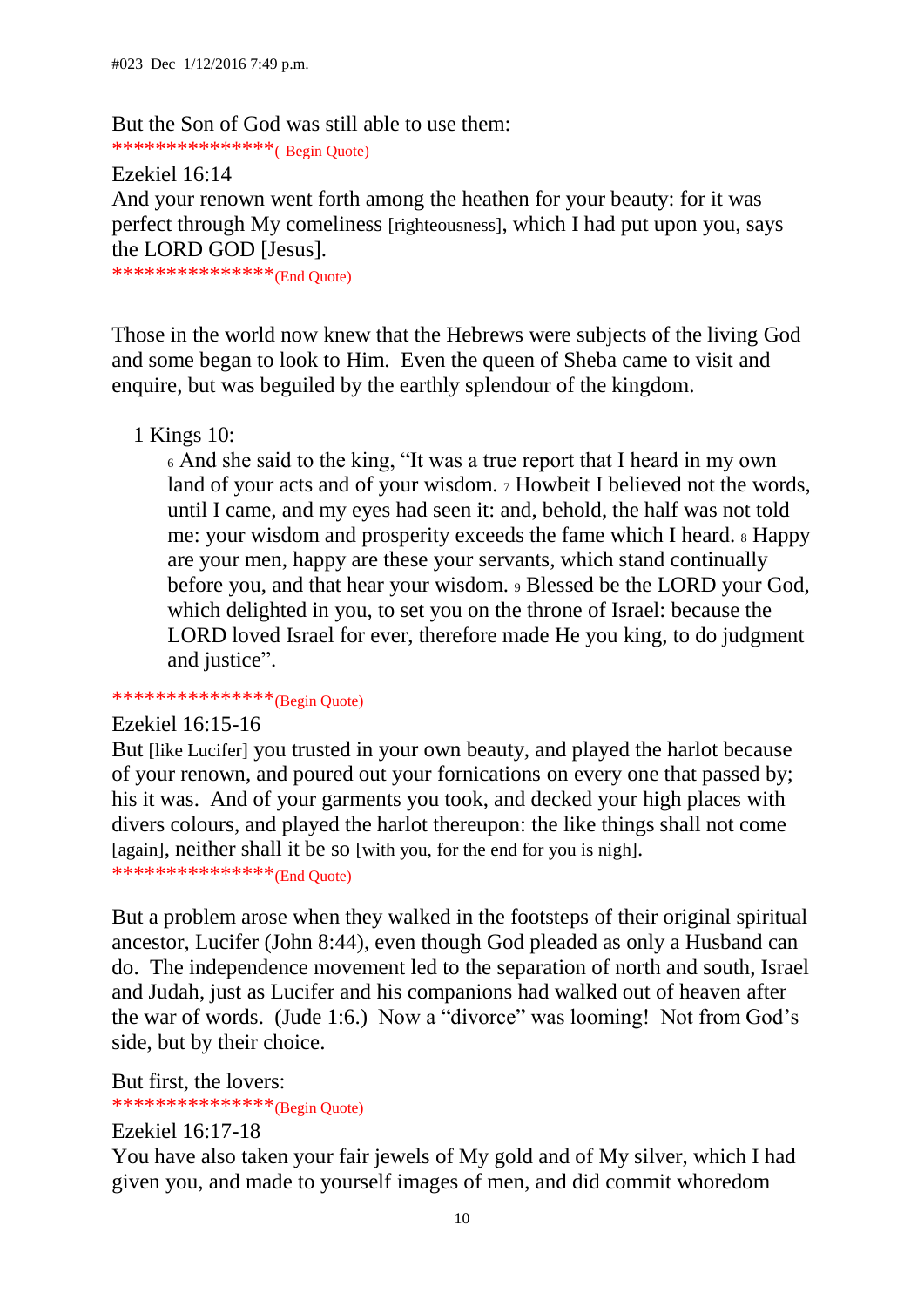But the Son of God was still able to use them: \*\*\*\*\*\*\*\*\*\*\*\*\*\*\*( Begin Quote)

Ezekiel 16:14

And your renown went forth among the heathen for your beauty: for it was perfect through My comeliness [righteousness], which I had put upon you, says the LORD GOD [Jesus].

\*\*\*\*\*\*\*\*\*\*\*\*\*\*\*(End Quote)

Those in the world now knew that the Hebrews were subjects of the living God and some began to look to Him. Even the queen of Sheba came to visit and enquire, but was beguiled by the earthly splendour of the kingdom.

1 Kings 10:

<sup>6</sup> And she said to the king, "It was a true report that I heard in my own land of your acts and of your wisdom. 7 Howbeit I believed not the words, until I came, and my eyes had seen it: and, behold, the half was not told me: your wisdom and prosperity exceeds the fame which I heard. <sup>8</sup> Happy are your men, happy are these your servants, which stand continually before you, and that hear your wisdom. <sup>9</sup> Blessed be the LORD your God, which delighted in you, to set you on the throne of Israel: because the LORD loved Israel for ever, therefore made He you king, to do judgment and justice".

\*\*\*\*\*\*\*\*\*\*\*\*\*\*\*\*(Begin Quote)

#### Ezekiel 16:15-16

But [like Lucifer] you trusted in your own beauty, and played the harlot because of your renown, and poured out your fornications on every one that passed by; his it was. And of your garments you took, and decked your high places with divers colours, and played the harlot thereupon: the like things shall not come [again], neither shall it be so [with you, for the end for you is nigh].

\*\*\*\*\*\*\*\*\*\*\*\*\*\*\*(End Quote)

But a problem arose when they walked in the footsteps of their original spiritual ancestor, Lucifer (John 8:44), even though God pleaded as only a Husband can do. The independence movement led to the separation of north and south, Israel and Judah, just as Lucifer and his companions had walked out of heaven after the war of words. (Jude 1:6.) Now a "divorce" was looming! Not from God's side, but by their choice.

But first, the lovers:

\*\*\*\*\*\*\*\*\*\*\*\*\*\*\*\*\*(Begin Quote)

Ezekiel 16:17-18

You have also taken your fair jewels of My gold and of My silver, which I had given you, and made to yourself images of men, and did commit whoredom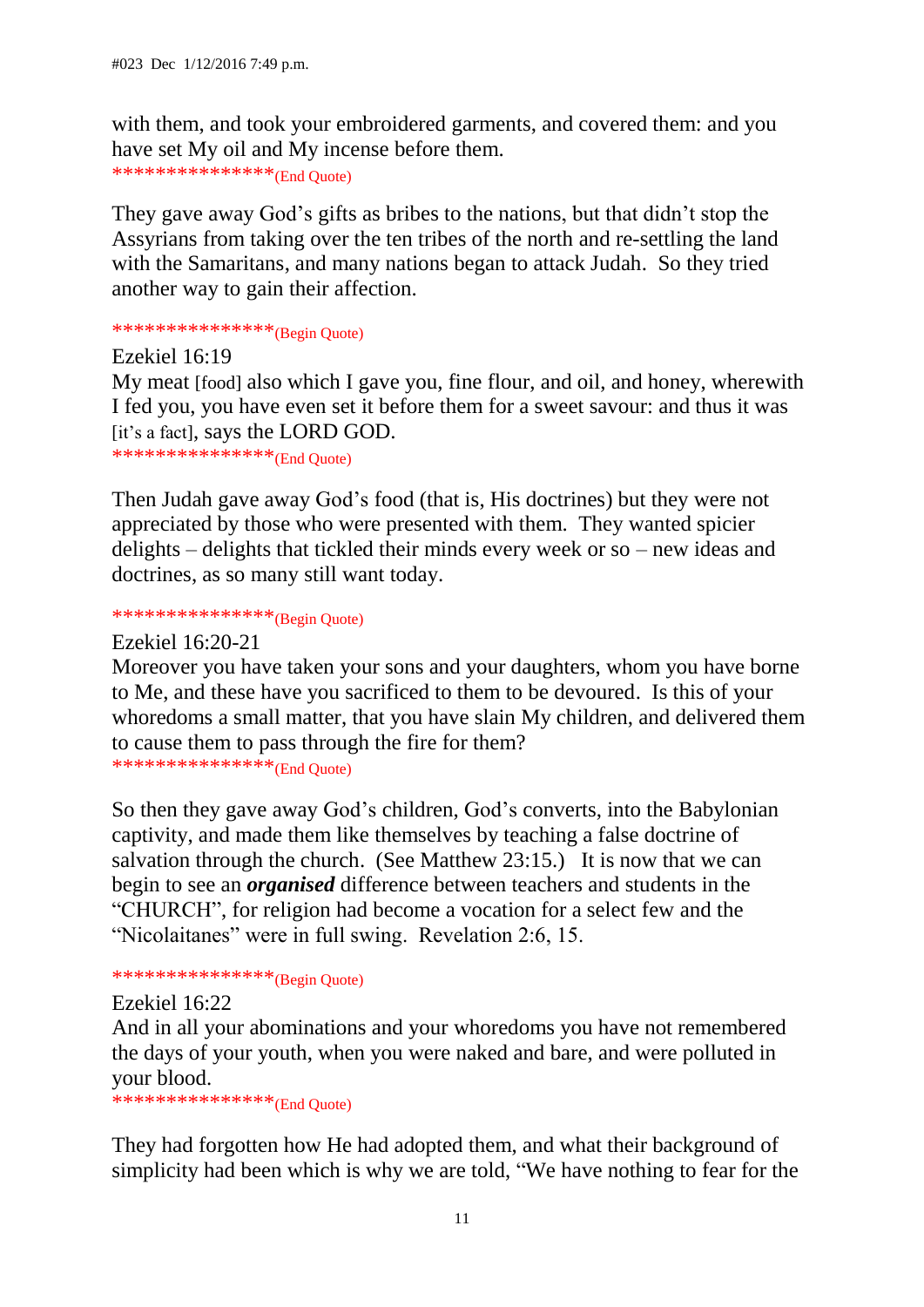with them, and took your embroidered garments, and covered them: and you have set My oil and My incense before them.

\*\*\*\*\*\*\*\*\*\*\*\*\*\*\*(End Quote)

They gave away God's gifts as bribes to the nations, but that didn't stop the Assyrians from taking over the ten tribes of the north and re-settling the land with the Samaritans, and many nations began to attack Judah. So they tried another way to gain their affection.

\*\*\*\*\*\*\*\*\*\*\*\*\*\*\*\*\*(Begin Quote)

Ezekiel 16:19 My meat [food] also which I gave you, fine flour, and oil, and honey, wherewith I fed you, you have even set it before them for a sweet savour: and thus it was [it's a fact], says the LORD GOD.

\*\*\*\*\*\*\*\*\*\*\*\*\*\*\*\*(End Quote)

Then Judah gave away God's food (that is, His doctrines) but they were not appreciated by those who were presented with them. They wanted spicier delights – delights that tickled their minds every week or so – new ideas and doctrines, as so many still want today.

\*\*\*\*\*\*\*\*\*\*\*\*\*\*\*(Begin Quote)

Ezekiel 16:20-21

Moreover you have taken your sons and your daughters, whom you have borne to Me, and these have you sacrificed to them to be devoured. Is this of your whoredoms a small matter, that you have slain My children, and delivered them to cause them to pass through the fire for them? \*\*\*\*\*\*\*\*\*\*\*\*\*\*\*(End Quote)

So then they gave away God's children, God's converts, into the Babylonian captivity, and made them like themselves by teaching a false doctrine of salvation through the church. (See Matthew 23:15.) It is now that we can begin to see an *organised* difference between teachers and students in the "CHURCH", for religion had become a vocation for a select few and the "Nicolaitanes" were in full swing. Revelation 2:6, 15.

\*\*\*\*\*\*\*\*\*\*\*\*\*\*\*\*\*(Begin Quote)

Ezekiel 16:22

And in all your abominations and your whoredoms you have not remembered the days of your youth, when you were naked and bare, and were polluted in your blood.

\*\*\*\*\*\*\*\*\*\*\*\*\*\*\*\*(End Quote)

They had forgotten how He had adopted them, and what their background of simplicity had been which is why we are told, "We have nothing to fear for the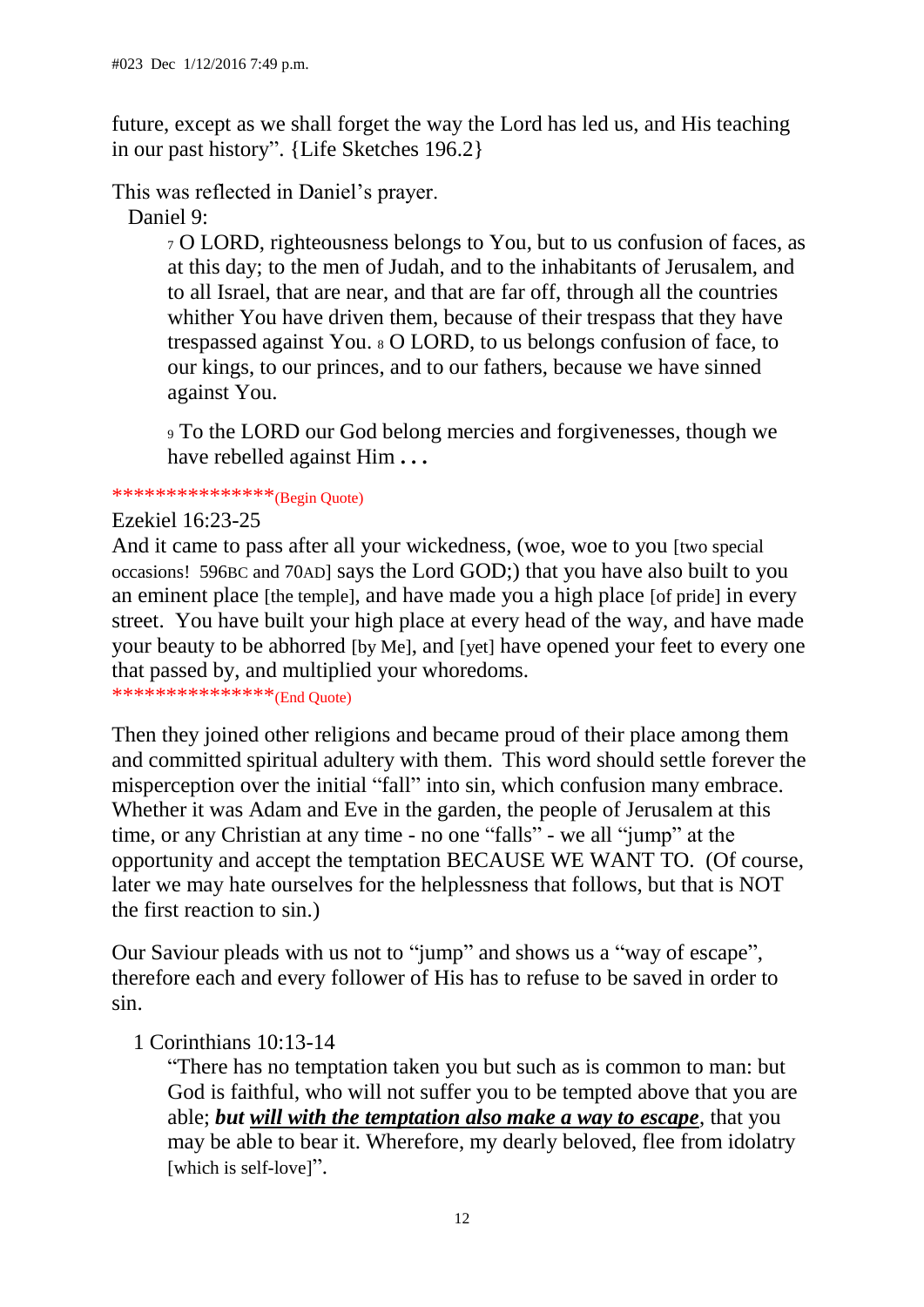future, except as we shall forget the way the Lord has led us, and His teaching in our past history". {Life Sketches 196.2}

This was reflected in Daniel's prayer.

Daniel 9:

<sup>7</sup> O LORD, righteousness belongs to You, but to us confusion of faces, as at this day; to the men of Judah, and to the inhabitants of Jerusalem, and to all Israel, that are near, and that are far off, through all the countries whither You have driven them, because of their trespass that they have trespassed against You. <sup>8</sup> O LORD, to us belongs confusion of face, to our kings, to our princes, and to our fathers, because we have sinned against You.

<sup>9</sup> To the LORD our God belong mercies and forgivenesses, though we have rebelled against Him **. . .** 

\*\*\*\*\*\*\*\*\*\*\*\*\*\*\*\*(Begin Quote)

Ezekiel 16:23-25

And it came to pass after all your wickedness, (woe, woe to you [two special occasions! 596BC and 70AD] says the Lord GOD;) that you have also built to you an eminent place [the temple], and have made you a high place [of pride] in every street. You have built your high place at every head of the way, and have made your beauty to be abhorred [by Me], and [yet] have opened your feet to every one that passed by, and multiplied your whoredoms.

\*\*\*\*\*\*\*\*\*\*\*\*\*\*\*(End Quote)

Then they joined other religions and became proud of their place among them and committed spiritual adultery with them. This word should settle forever the misperception over the initial "fall" into sin, which confusion many embrace. Whether it was Adam and Eve in the garden, the people of Jerusalem at this time, or any Christian at any time - no one "falls" - we all "jump" at the opportunity and accept the temptation BECAUSE WE WANT TO. (Of course, later we may hate ourselves for the helplessness that follows, but that is NOT the first reaction to sin.)

Our Saviour pleads with us not to "jump" and shows us a "way of escape", therefore each and every follower of His has to refuse to be saved in order to sin.

1 Corinthians 10:13-14

"There has no temptation taken you but such as is common to man: but God is faithful, who will not suffer you to be tempted above that you are able; *but will with the temptation also make a way to escape*, that you may be able to bear it. Wherefore, my dearly beloved, flee from idolatry [which is self-love]".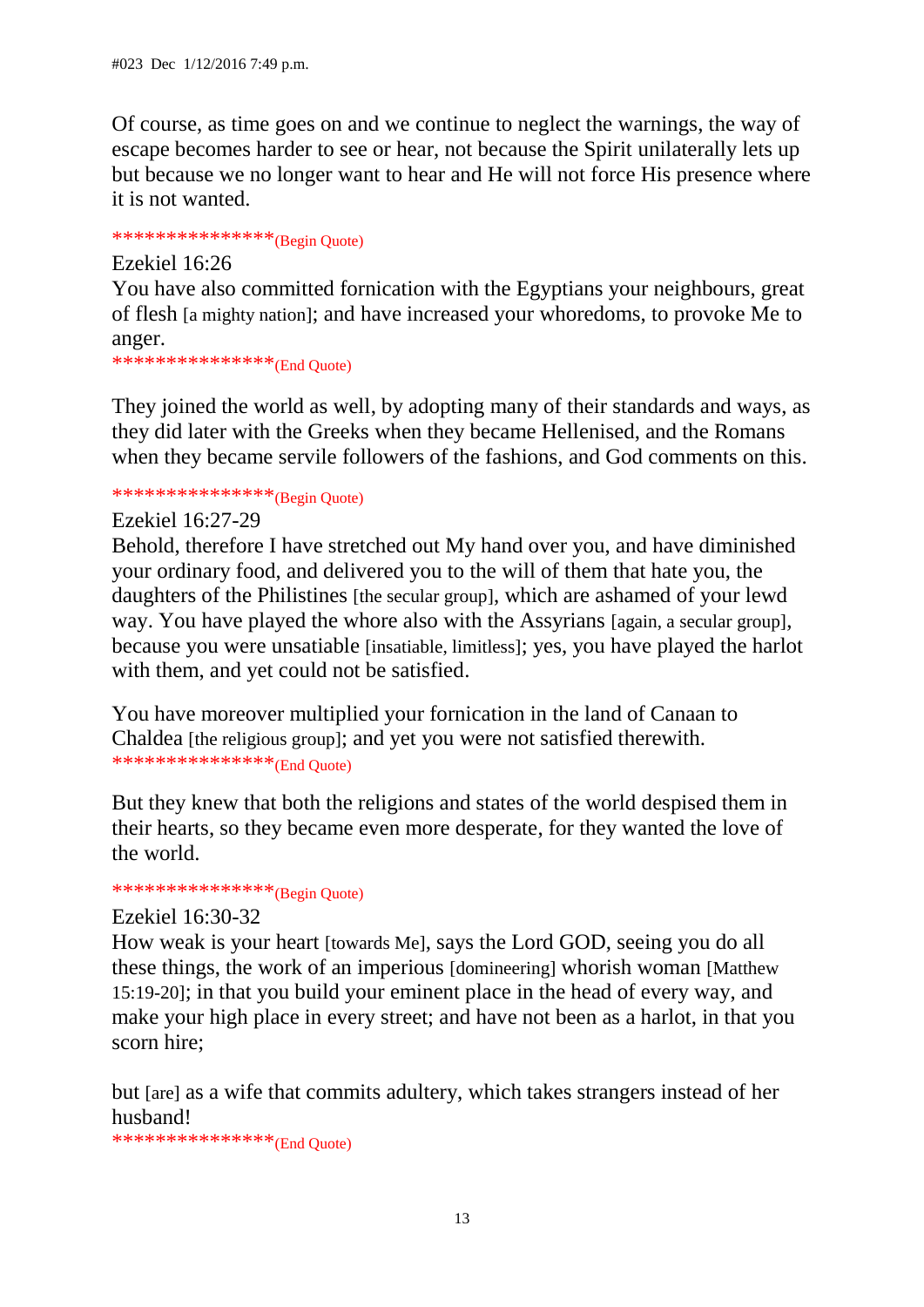Of course, as time goes on and we continue to neglect the warnings, the way of escape becomes harder to see or hear, not because the Spirit unilaterally lets up but because we no longer want to hear and He will not force His presence where it is not wanted.

# \*\*\*\*\*\*\*\*\*\*\*\*\*\*\*(Begin Quote)

Ezekiel 16:26

You have also committed fornication with the Egyptians your neighbours, great of flesh [a mighty nation]; and have increased your whoredoms, to provoke Me to anger.

\*\*\*\*\*\*\*\*\*\*\*\*\*\*\*\*(End Quote)

They joined the world as well, by adopting many of their standards and ways, as they did later with the Greeks when they became Hellenised, and the Romans when they became servile followers of the fashions, and God comments on this.

\*\*\*\*\*\*\*\*\*\*\*\*\*\*\*\*\*(Begin Quote)

Ezekiel 16:27-29

Behold, therefore I have stretched out My hand over you, and have diminished your ordinary food, and delivered you to the will of them that hate you, the daughters of the Philistines [the secular group], which are ashamed of your lewd way. You have played the whore also with the Assyrians [again, a secular group], because you were unsatiable [insatiable, limitless]; yes, you have played the harlot with them, and yet could not be satisfied.

You have moreover multiplied your fornication in the land of Canaan to Chaldea [the religious group]; and yet you were not satisfied therewith. \*\*\*\*\*\*\*\*\*\*\*\*\*\*\*(End Quote)

But they knew that both the religions and states of the world despised them in their hearts, so they became even more desperate, for they wanted the love of the world.

# \*\*\*\*\*\*\*\*\*\*\*\*\*\*\*\*(Begin Quote)

#### Ezekiel 16:30-32

How weak is your heart [towards Me], says the Lord GOD, seeing you do all these things, the work of an imperious [domineering] whorish woman [Matthew 15:19-20]; in that you build your eminent place in the head of every way, and make your high place in every street; and have not been as a harlot, in that you scorn hire;

but [are] as a wife that commits adultery, which takes strangers instead of her husband!

\*\*\*\*\*\*\*\*\*\*\*\*\*\*\*\*(End Quote)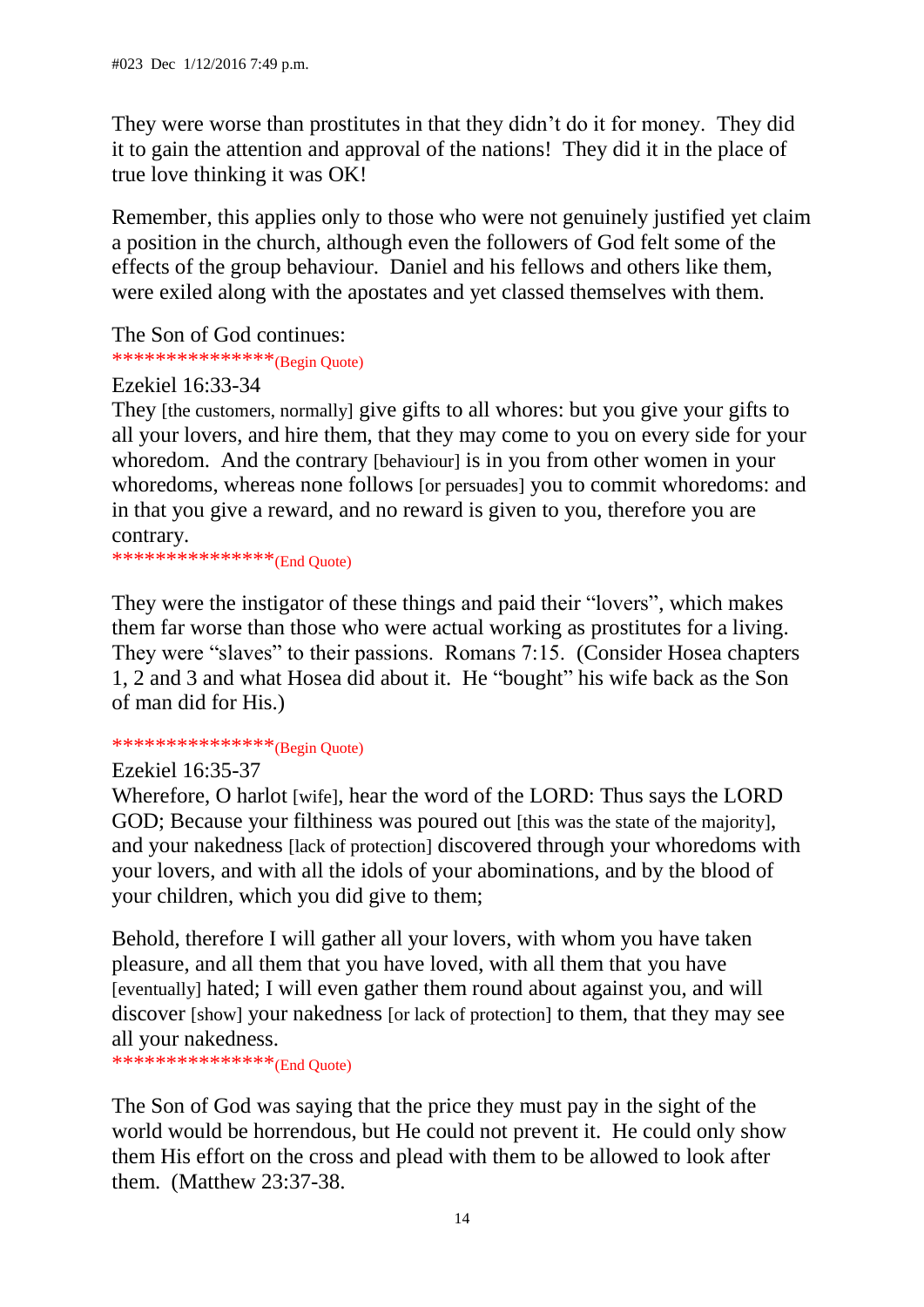They were worse than prostitutes in that they didn't do it for money. They did it to gain the attention and approval of the nations! They did it in the place of true love thinking it was OK!

Remember, this applies only to those who were not genuinely justified yet claim a position in the church, although even the followers of God felt some of the effects of the group behaviour. Daniel and his fellows and others like them, were exiled along with the apostates and yet classed themselves with them.

The Son of God continues:

\*\*\*\*\*\*\*\*\*\*\*\*\*\*\*\*\*(Begin Quote)

Ezekiel 16:33-34

They [the customers, normally] give gifts to all whores: but you give your gifts to all your lovers, and hire them, that they may come to you on every side for your whoredom. And the contrary [behaviour] is in you from other women in your whoredoms, whereas none follows [or persuades] you to commit whoredoms: and in that you give a reward, and no reward is given to you, therefore you are contrary.

\*\*\*\*\*\*\*\*\*\*\*\*\*\*\*(End Quote)

They were the instigator of these things and paid their "lovers", which makes them far worse than those who were actual working as prostitutes for a living. They were "slaves" to their passions. Romans 7:15. (Consider Hosea chapters 1, 2 and 3 and what Hosea did about it. He "bought" his wife back as the Son of man did for His.)

## \*\*\*\*\*\*\*\*\*\*\*\*\*\*\*\*<sup>\*</sup>(Begin Quote)

#### Ezekiel 16:35-37

Wherefore, O harlot [wife], hear the word of the LORD: Thus says the LORD GOD; Because your filthiness was poured out [this was the state of the majority], and your nakedness [lack of protection] discovered through your whoredoms with your lovers, and with all the idols of your abominations, and by the blood of your children, which you did give to them;

Behold, therefore I will gather all your lovers, with whom you have taken pleasure, and all them that you have loved, with all them that you have [eventually] hated; I will even gather them round about against you, and will discover [show] your nakedness [or lack of protection] to them, that they may see all your nakedness.

\*\*\*\*\*\*\*\*\*\*\*\*\*\*\*(End Quote)

The Son of God was saying that the price they must pay in the sight of the world would be horrendous, but He could not prevent it. He could only show them His effort on the cross and plead with them to be allowed to look after them. (Matthew 23:37-38.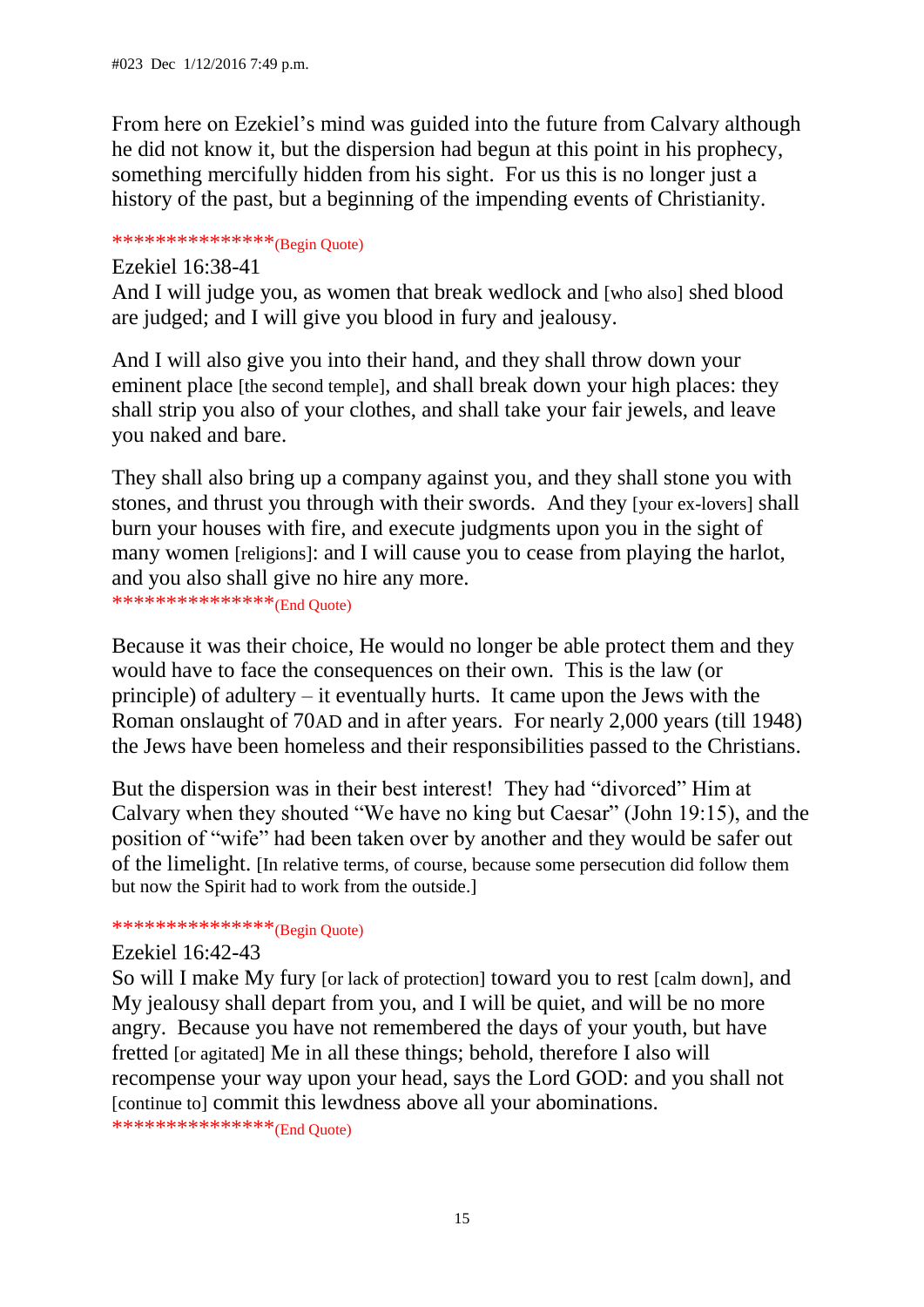From here on Ezekiel's mind was guided into the future from Calvary although he did not know it, but the dispersion had begun at this point in his prophecy, something mercifully hidden from his sight. For us this is no longer just a history of the past, but a beginning of the impending events of Christianity.

# \*\*\*\*\*\*\*\*\*\*\*\*\*\*\*(Begin Quote)

Ezekiel 16:38-41 And I will judge you, as women that break wedlock and [who also] shed blood are judged; and I will give you blood in fury and jealousy.

And I will also give you into their hand, and they shall throw down your eminent place [the second temple], and shall break down your high places: they shall strip you also of your clothes, and shall take your fair jewels, and leave you naked and bare.

They shall also bring up a company against you, and they shall stone you with stones, and thrust you through with their swords. And they [your ex-lovers] shall burn your houses with fire, and execute judgments upon you in the sight of many women [religions]: and I will cause you to cease from playing the harlot, and you also shall give no hire any more.

\*\*\*\*\*\*\*\*\*\*\*\*\*\*\*(End Quote)

Because it was their choice, He would no longer be able protect them and they would have to face the consequences on their own. This is the law (or principle) of adultery – it eventually hurts. It came upon the Jews with the Roman onslaught of 70AD and in after years. For nearly 2,000 years (till 1948) the Jews have been homeless and their responsibilities passed to the Christians.

But the dispersion was in their best interest! They had "divorced" Him at Calvary when they shouted "We have no king but Caesar" (John 19:15), and the position of "wife" had been taken over by another and they would be safer out of the limelight. [In relative terms, of course, because some persecution did follow them but now the Spirit had to work from the outside.]

# \*\*\*\*\*\*\*\*\*\*\*\*\*\*\*\*(Begin Quote)

#### Ezekiel 16:42-43

So will I make My fury [or lack of protection] toward you to rest [calm down], and My jealousy shall depart from you, and I will be quiet, and will be no more angry. Because you have not remembered the days of your youth, but have fretted [or agitated] Me in all these things; behold, therefore I also will recompense your way upon your head, says the Lord GOD: and you shall not [continue to] commit this lewdness above all your abominations.

\*\*\*\*\*\*\*\*\*\*\*\*\*\*\*(End Quote)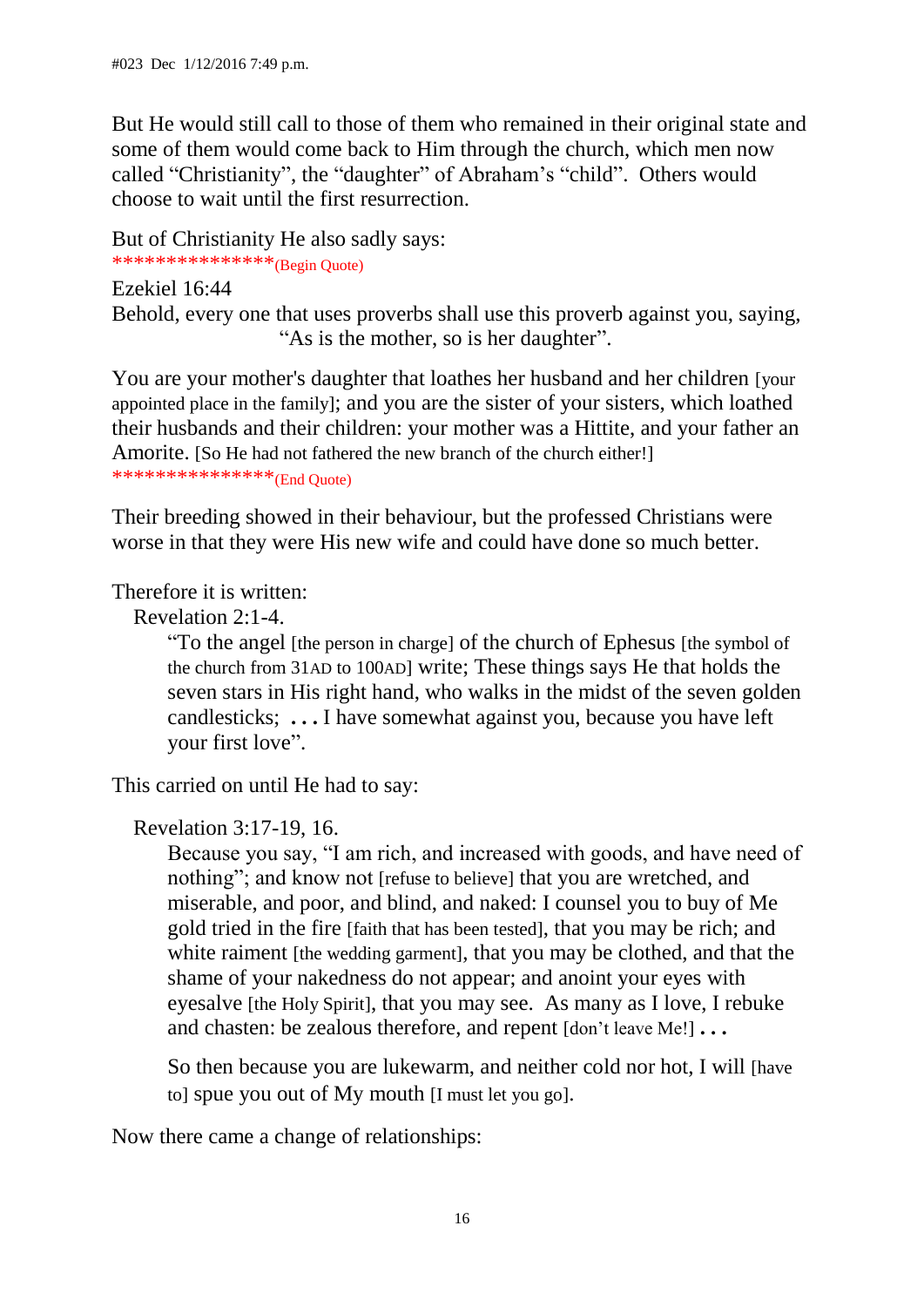But He would still call to those of them who remained in their original state and some of them would come back to Him through the church, which men now called "Christianity", the "daughter" of Abraham's "child". Others would choose to wait until the first resurrection.

But of Christianity He also sadly says:

\*\*\*\*\*\*\*\*\*\*\*\*\*\*\*(Begin Quote)

Ezekiel 16:44 Behold, every one that uses proverbs shall use this proverb against you, saying, "As is the mother, so is her daughter".

You are your mother's daughter that loathes her husband and her children [your appointed place in the family]; and you are the sister of your sisters, which loathed their husbands and their children: your mother was a Hittite, and your father an Amorite. [So He had not fathered the new branch of the church either!] \*\*\*\*\*\*\*\*\*\*\*\*\*\*\*\*\*(End Quote)

Their breeding showed in their behaviour, but the professed Christians were worse in that they were His new wife and could have done so much better.

Therefore it is written:

Revelation 2:1-4.

"To the angel [the person in charge] of the church of Ephesus [the symbol of the church from 31AD to 100AD] write; These things says He that holds the seven stars in His right hand, who walks in the midst of the seven golden candlesticks; **. . .** I have somewhat against you, because you have left your first love".

This carried on until He had to say:

Revelation 3:17-19, 16.

Because you say, "I am rich, and increased with goods, and have need of nothing"; and know not [refuse to believe] that you are wretched, and miserable, and poor, and blind, and naked: I counsel you to buy of Me gold tried in the fire [faith that has been tested], that you may be rich; and white raiment [the wedding garment], that you may be clothed, and that the shame of your nakedness do not appear; and anoint your eyes with eyesalve [the Holy Spirit], that you may see. As many as I love, I rebuke and chasten: be zealous therefore, and repent [don't leave Me!] **. . .**

So then because you are lukewarm, and neither cold nor hot, I will [have to] spue you out of My mouth [I must let you go].

Now there came a change of relationships: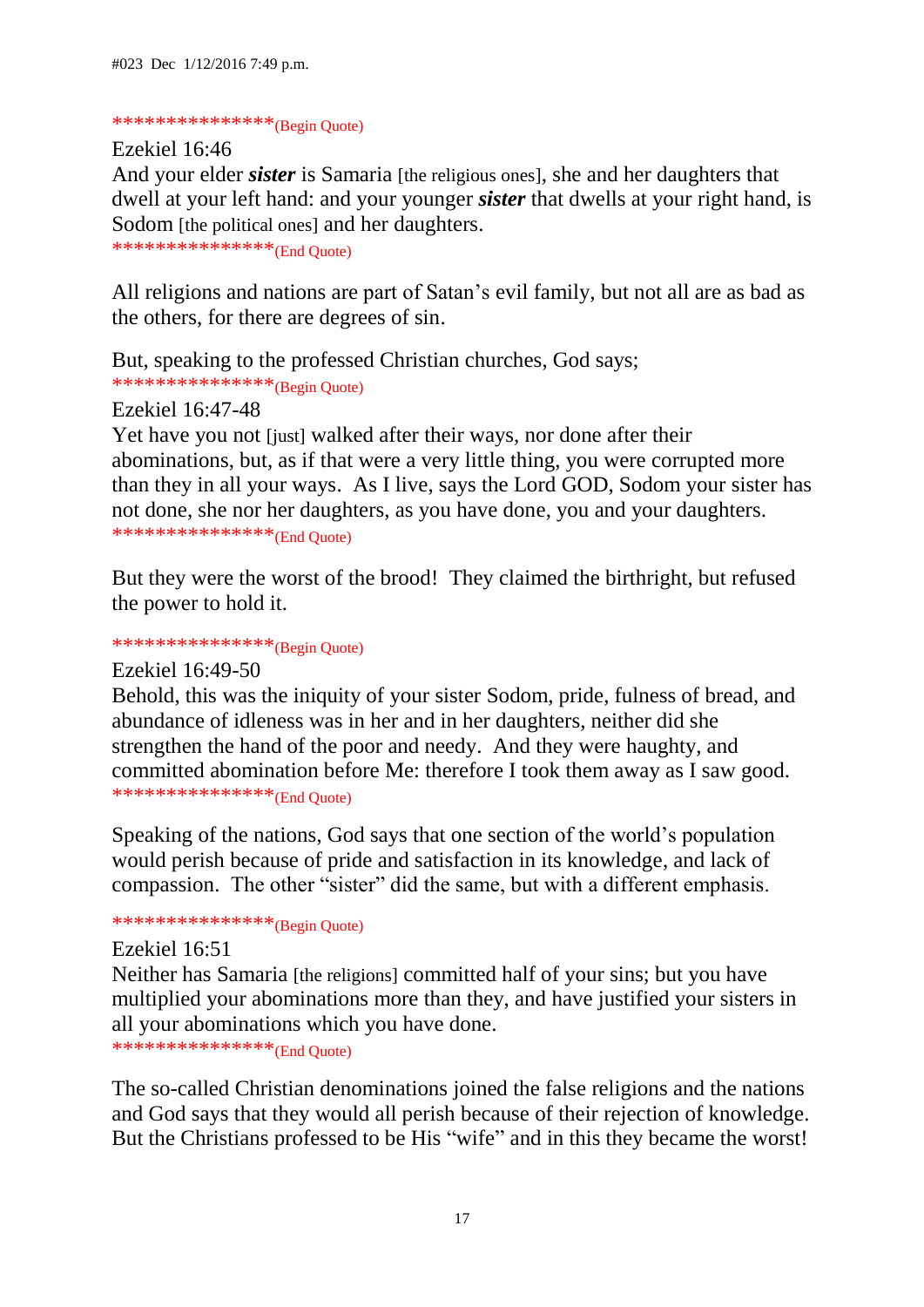### \*\*\*\*\*\*\*\*\*\*\*\*\*\*\*\*\*(Begin Quote)

Ezekiel 16:46 And your elder *sister* is Samaria [the religious ones], she and her daughters that dwell at your left hand: and your younger *sister* that dwells at your right hand, is Sodom [the political ones] and her daughters.

```
***************(End Quote)
```
All religions and nations are part of Satan's evil family, but not all are as bad as the others, for there are degrees of sin.

But, speaking to the professed Christian churches, God says;  $************************(**Begin** Quote)$ 

Ezekiel 16:47-48

Yet have you not [just] walked after their ways, nor done after their abominations, but, as if that were a very little thing, you were corrupted more than they in all your ways. As I live, says the Lord GOD, Sodom your sister has not done, she nor her daughters, as you have done, you and your daughters. \*\*\*\*\*\*\*\*\*\*\*\*\*\*\*(End Quote)

But they were the worst of the brood! They claimed the birthright, but refused the power to hold it.

# \*\*\*\*\*\*\*\*\*\*\*\*\*\*\*\*\*(Begin Quote)

Ezekiel 16:49-50

Behold, this was the iniquity of your sister Sodom, pride, fulness of bread, and abundance of idleness was in her and in her daughters, neither did she strengthen the hand of the poor and needy. And they were haughty, and committed abomination before Me: therefore I took them away as I saw good. \*\*\*\*\*\*\*\*\*\*\*\*\*\*\*\*(End Quote)

Speaking of the nations, God says that one section of the world's population would perish because of pride and satisfaction in its knowledge, and lack of compassion. The other "sister" did the same, but with a different emphasis.

# \*\*\*\*\*\*\*\*\*\*\*\*\*\*\*\*(Begin Quote)

### Ezekiel 16:51

Neither has Samaria [the religions] committed half of your sins; but you have multiplied your abominations more than they, and have justified your sisters in all your abominations which you have done.

\*\*\*\*\*\*\*\*\*\*\*\*\*\*\*\*\*(End Quote)

The so-called Christian denominations joined the false religions and the nations and God says that they would all perish because of their rejection of knowledge. But the Christians professed to be His "wife" and in this they became the worst!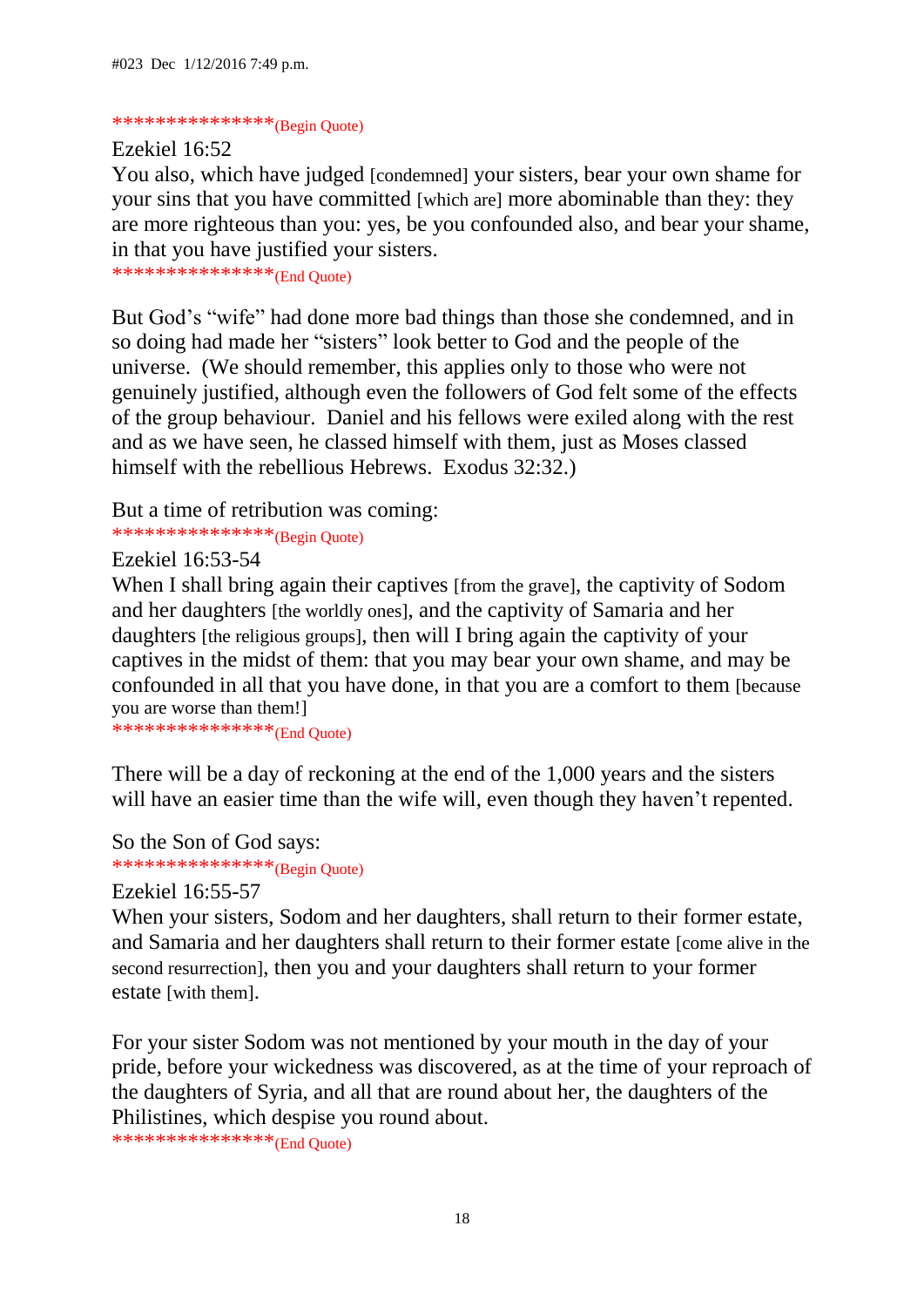### \*\*\*\*\*\*\*\*\*\*\*\*\*\*\*\*\*(Begin Quote)

Ezekiel 16:52

You also, which have judged [condemned] your sisters, bear your own shame for your sins that you have committed [which are] more abominable than they: they are more righteous than you: yes, be you confounded also, and bear your shame, in that you have justified your sisters.

\*\*\*\*\*\*\*\*\*\*\*\*\*\*\*(End Quote)

But God's "wife" had done more bad things than those she condemned, and in so doing had made her "sisters" look better to God and the people of the universe. (We should remember, this applies only to those who were not genuinely justified, although even the followers of God felt some of the effects of the group behaviour. Daniel and his fellows were exiled along with the rest and as we have seen, he classed himself with them, just as Moses classed himself with the rebellious Hebrews. Exodus 32:32.)

But a time of retribution was coming:

\*\*\*\*\*\*\*\*\*\*\*\*\*\*\*\*\*(Begin Quote)

Ezekiel 16:53-54

When I shall bring again their captives [from the grave], the captivity of Sodom and her daughters [the worldly ones], and the captivity of Samaria and her daughters [the religious groups], then will I bring again the captivity of your captives in the midst of them: that you may bear your own shame, and may be confounded in all that you have done, in that you are a comfort to them [because you are worse than them!]

\*\*\*\*\*\*\*\*\*\*\*\*\*\*\*\*\*(End Quote)

There will be a day of reckoning at the end of the 1,000 years and the sisters will have an easier time than the wife will, even though they haven't repented.

So the Son of God says: \*\*\*\*\*\*\*\*\*\*\*\*\*\*\*\*\*(Begin Quote)

#### Ezekiel 16:55-57

When your sisters, Sodom and her daughters, shall return to their former estate, and Samaria and her daughters shall return to their former estate [come alive in the second resurrection], then you and your daughters shall return to your former estate [with them].

For your sister Sodom was not mentioned by your mouth in the day of your pride, before your wickedness was discovered, as at the time of your reproach of the daughters of Syria, and all that are round about her, the daughters of the Philistines, which despise you round about.

\*\*\*\*\*\*\*\*\*\*\*\*\*\*\*(End Quote)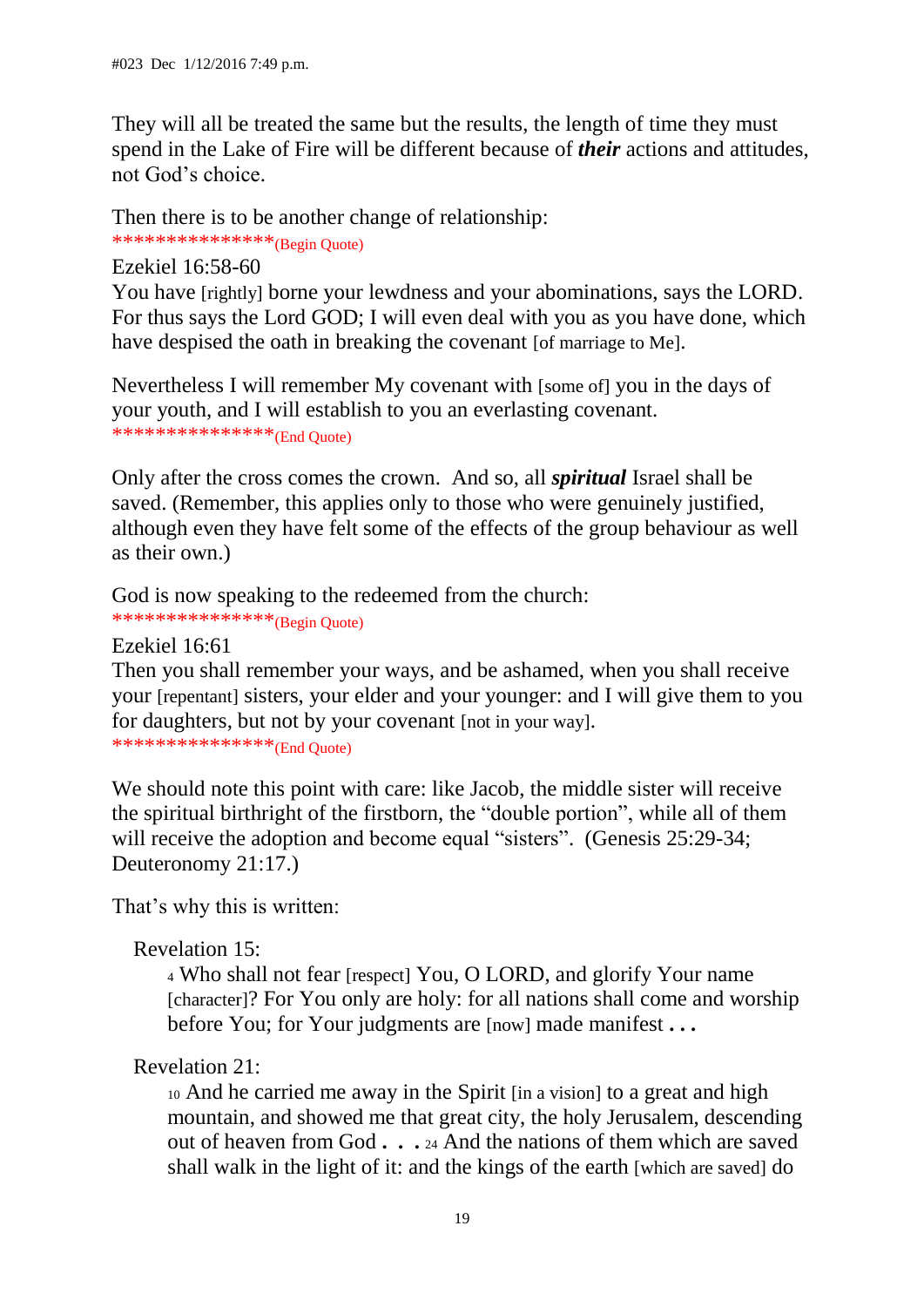They will all be treated the same but the results, the length of time they must spend in the Lake of Fire will be different because of *their* actions and attitudes, not God's choice.

Then there is to be another change of relationship:

\*\*\*\*\*\*\*\*\*\*\*\*\*\*\*\*<sup>\*</sup>(Begin Quote)

Ezekiel 16:58-60

You have [rightly] borne your lewdness and your abominations, says the LORD. For thus says the Lord GOD; I will even deal with you as you have done, which have despised the oath in breaking the covenant [of marriage to Me].

Nevertheless I will remember My covenant with [some of] you in the days of your youth, and I will establish to you an everlasting covenant. \*\*\*\*\*\*\*\*\*\*\*\*\*\*\*(End Quote)

Only after the cross comes the crown. And so, all *spiritual* Israel shall be saved. (Remember, this applies only to those who were genuinely justified, although even they have felt some of the effects of the group behaviour as well as their own.)

God is now speaking to the redeemed from the church:

\*\*\*\*\*\*\*\*\*\*\*\*\*\*\*\*\*(Begin Quote)

Ezekiel 16:61

Then you shall remember your ways, and be ashamed, when you shall receive your [repentant] sisters, your elder and your younger: and I will give them to you for daughters, but not by your covenant [not in your way]. \*\*\*\*\*\*\*\*\*\*\*\*\*\*\*(End Quote)

We should note this point with care: like Jacob, the middle sister will receive the spiritual birthright of the firstborn, the "double portion", while all of them will receive the adoption and become equal "sisters". (Genesis 25:29-34; Deuteronomy 21:17.)

That's why this is written:

Revelation 15:

<sup>4</sup> Who shall not fear [respect] You, O LORD, and glorify Your name [character]? For You only are holy: for all nations shall come and worship before You; for Your judgments are [now] made manifest **. . .** 

# Revelation 21:

<sup>10</sup> And he carried me away in the Spirit [in a vision] to a great and high mountain, and showed me that great city, the holy Jerusalem, descending out of heaven from God **. . .** <sup>24</sup> And the nations of them which are saved shall walk in the light of it: and the kings of the earth [which are saved] do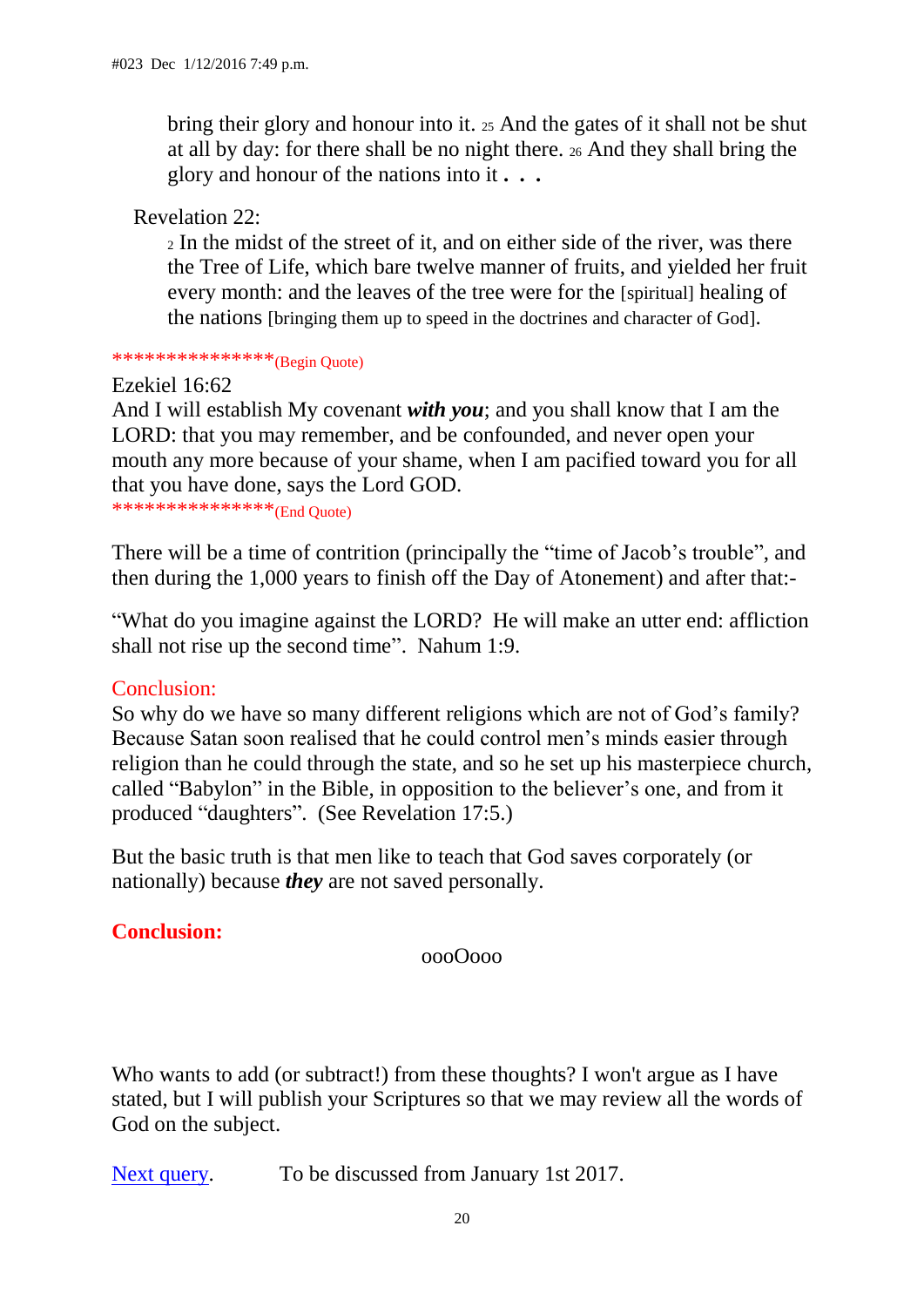bring their glory and honour into it. <sup>25</sup> And the gates of it shall not be shut at all by day: for there shall be no night there. <sup>26</sup> And they shall bring the glory and honour of the nations into it **. . .** 

Revelation 22:

<sup>2</sup> In the midst of the street of it, and on either side of the river, was there the Tree of Life, which bare twelve manner of fruits, and yielded her fruit every month: and the leaves of the tree were for the [spiritual] healing of the nations [bringing them up to speed in the doctrines and character of God].

\*\*\*\*\*\*\*\*\*\*\*\*\*\*\*\*(Begin Quote)

Ezekiel 16:62

And I will establish My covenant *with you*; and you shall know that I am the LORD: that you may remember, and be confounded, and never open your mouth any more because of your shame, when I am pacified toward you for all that you have done, says the Lord GOD.

\*\*\*\*\*\*\*\*\*\*\*\*\*\*\*(End Quote)

There will be a time of contrition (principally the "time of Jacob's trouble", and then during the 1,000 years to finish off the Day of Atonement) and after that:-

"What do you imagine against the LORD? He will make an utter end: affliction shall not rise up the second time". Nahum 1:9.

## Conclusion:

So why do we have so many different religions which are not of God's family? Because Satan soon realised that he could control men's minds easier through religion than he could through the state, and so he set up his masterpiece church, called "Babylon" in the Bible, in opposition to the believer's one, and from it produced "daughters". (See Revelation 17:5.)

But the basic truth is that men like to teach that God saves corporately (or nationally) because *they* are not saved personally.

# **Conclusion:**

oooOooo

Who wants to add (or subtract!) from these thoughts? I won't argue as I have stated, but I will publish your Scriptures so that we may review all the words of God on the subject.

[Next query.](file:///D:/A%20Passport%20travelling/Travelling%20on%20C%20drive/My%20webs/my_page/past_queries/burnt_offerings_aug_14.html%23.) To be discussed from January 1st 2017.